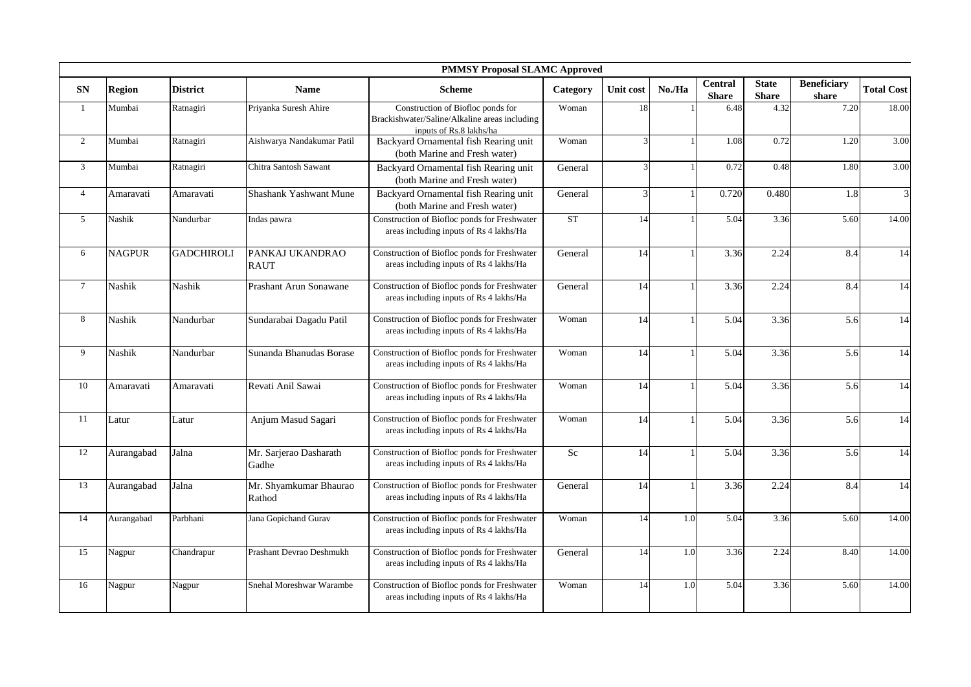|                 |               |                   |                                  | <b>PMMSY Proposal SLAMC Approved</b>                                                                          |                    |                |        |                                |                              |                             |                         |
|-----------------|---------------|-------------------|----------------------------------|---------------------------------------------------------------------------------------------------------------|--------------------|----------------|--------|--------------------------------|------------------------------|-----------------------------|-------------------------|
| ${\bf SN}$      | <b>Region</b> | <b>District</b>   | <b>Name</b>                      | <b>Scheme</b>                                                                                                 | Category           | Unit cost      | No./Ha | <b>Central</b><br><b>Share</b> | <b>State</b><br><b>Share</b> | <b>Beneficiary</b><br>share | <b>Total Cost</b>       |
| $\mathbf{1}$    | Mumbai        | Ratnagiri         | Priyanka Suresh Ahire            | Construction of Biofloc ponds for<br>Brackishwater/Saline/Alkaline areas including<br>inputs of Rs.8 lakhs/ha | Woman              | 18             |        | 6.48                           | 4.32                         | 7.20                        | 18.00                   |
| $\overline{2}$  | Mumbai        | Ratnagiri         | Aishwarya Nandakumar Patil       | Backyard Ornamental fish Rearing unit<br>(both Marine and Fresh water)                                        | Woman              | 3              |        | 1.08                           | 0.72                         | 1.20                        | 3.00                    |
| 3               | Mumbai        | Ratnagiri         | Chitra Santosh Sawant            | Backyard Ornamental fish Rearing unit<br>(both Marine and Fresh water)                                        | General            | 3              |        | 0.72                           | 0.48                         | 1.80                        | 3.00                    |
| $\overline{4}$  | Amaravati     | Amaravati         | Shashank Yashwant Mune           | Backyard Ornamental fish Rearing unit<br>(both Marine and Fresh water)                                        | General            | $\overline{3}$ |        | 0.720                          | 0.480                        | 1.8                         | $\overline{\mathbf{3}}$ |
| $5\overline{)}$ | Nashik        | Nandurbar         | Indas pawra                      | Construction of Biofloc ponds for Freshwater<br>areas including inputs of Rs 4 lakhs/Ha                       | ${\cal S}{\cal T}$ | 14             |        | 5.04                           | 3.36                         | 5.60                        | 14.00                   |
| 6               | <b>NAGPUR</b> | <b>GADCHIROLI</b> | PANKAJ UKANDRAO<br><b>RAUT</b>   | Construction of Biofloc ponds for Freshwater<br>areas including inputs of Rs 4 lakhs/Ha                       | General            | 14             |        | 3.36                           | 2.24                         | 8.4                         | 14                      |
| $7\overline{ }$ | Nashik        | Nashik            | Prashant Arun Sonawane           | Construction of Biofloc ponds for Freshwater<br>areas including inputs of Rs 4 lakhs/Ha                       | General            | 14             | -1     | 3.36                           | 2.24                         | 8.4                         | 14                      |
| 8               | Nashik        | Nandurbar         | Sundarabai Dagadu Patil          | Construction of Biofloc ponds for Freshwater<br>areas including inputs of Rs 4 lakhs/Ha                       | Woman              | 14             |        | 5.04                           | 3.36                         | 5.6                         | 14                      |
| 9               | Nashik        | Nandurbar         | Sunanda Bhanudas Borase          | Construction of Biofloc ponds for Freshwater<br>areas including inputs of Rs 4 lakhs/Ha                       | Woman              | 14             |        | 5.04                           | 3.36                         | 5.6                         | 14                      |
| 10              | Amaravati     | Amaravati         | Revati Anil Sawai                | Construction of Biofloc ponds for Freshwater<br>areas including inputs of Rs 4 lakhs/Ha                       | Woman              | 14             | -1     | 5.04                           | 3.36                         | 5.6                         | 14                      |
| 11              | Latur         | Latur             | Anjum Masud Sagari               | Construction of Biofloc ponds for Freshwater<br>areas including inputs of Rs 4 lakhs/Ha                       | Woman              | 14             | 1      | 5.04                           | 3.36                         | 5.6                         | 14                      |
| 12              | Aurangabad    | Jalna             | Mr. Sarjerao Dasharath<br>Gadhe  | Construction of Biofloc ponds for Freshwater<br>areas including inputs of Rs 4 lakhs/Ha                       | Sc                 | 14             |        | 5.04                           | 3.36                         | 5.6                         | 14                      |
| 13              | Aurangabad    | Jalna             | Mr. Shyamkumar Bhaurao<br>Rathod | Construction of Biofloc ponds for Freshwater<br>areas including inputs of Rs 4 lakhs/Ha                       | General            | 14             | 1      | 3.36                           | 2.24                         | 8.4                         | $\overline{14}$         |
| 14              | Aurangabad    | Parbhani          | Jana Gopichand Gurav             | Construction of Biofloc ponds for Freshwater<br>areas including inputs of Rs 4 lakhs/Ha                       | Woman              | 14             | 1.0    | 5.04                           | 3.36                         | 5.60                        | 14.00                   |
| 15              | Nagpur        | Chandrapur        | Prashant Devrao Deshmukh         | Construction of Biofloc ponds for Freshwater<br>areas including inputs of Rs 4 lakhs/Ha                       | General            | 14             | 1.0    | 3.36                           | 2.24                         | 8.40                        | 14.00                   |
| 16              | Nagpur        | Nagpur            | Snehal Moreshwar Warambe         | Construction of Biofloc ponds for Freshwater<br>areas including inputs of Rs 4 lakhs/Ha                       | Woman              | 14             | 1.0    | 5.04                           | 3.36                         | 5.60                        | 14.00                   |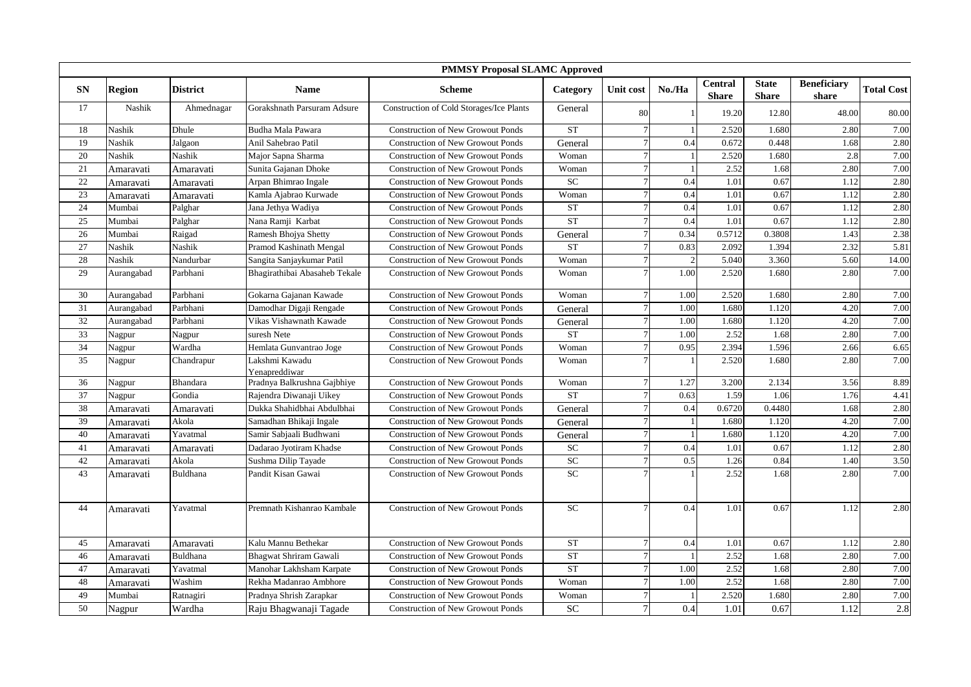|                 |               |                 |                                 | <b>PMMSY Proposal SLAMC Approved</b>     |           |           |                |                                |                              |                             |                   |
|-----------------|---------------|-----------------|---------------------------------|------------------------------------------|-----------|-----------|----------------|--------------------------------|------------------------------|-----------------------------|-------------------|
| SN              | <b>Region</b> | <b>District</b> | <b>Name</b>                     | <b>Scheme</b>                            | Category  | Unit cost | No./Ha         | <b>Central</b><br><b>Share</b> | <b>State</b><br><b>Share</b> | <b>Beneficiary</b><br>share | <b>Total Cost</b> |
| 17              | Nashik        | Ahmednagar      | Gorakshnath Parsuram Adsure     | Construction of Cold Storages/Ice Plants | General   | 80        |                | 19.20                          | 12.80                        | 48.00                       | 80.00             |
| 18              | Nashik        | Dhule           | Budha Mala Pawara               | <b>Construction of New Growout Ponds</b> | <b>ST</b> |           |                | 2.520                          | 1.680                        | 2.80                        | 7.00              |
| 19              | Nashik        | Jalgaon         | Anil Sahebrao Patil             | <b>Construction of New Growout Ponds</b> | General   |           | 0.4            | 0.672                          | 0.448                        | 1.68                        | 2.80              |
| 20              | Nashik        | Nashik          | Major Sapna Sharma              | <b>Construction of New Growout Ponds</b> | Woman     |           |                | 2.520                          | 1.680                        | 2.8                         | 7.00              |
| 21              | Amaravati     | Amaravati       | Sunita Gajanan Dhoke            | <b>Construction of New Growout Ponds</b> | Woman     |           |                | 2.52                           | 1.68                         | 2.80                        | 7.00              |
| $\overline{22}$ | Amaravati     | Amaravati       | Arpan Bhimrao Ingale            | <b>Construction of New Growout Ponds</b> | SC        |           | 0.4            | 1.01                           | 0.67                         | 1.12                        | 2.80              |
| 23              | Amaravati     | Amaravati       | Kamla Ajabrao Kurwade           | <b>Construction of New Growout Ponds</b> | Woman     |           | 0.4            | 1.01                           | 0.67                         | 1.12                        | 2.80              |
| 24              | Mumbai        | Palghar         | Jana Jethya Wadiya              | <b>Construction of New Growout Ponds</b> | <b>ST</b> |           | 0.4            | 1.01                           | 0.67                         | 1.12                        | 2.80              |
| 25              | Mumbai        | Palghar         | Nana Ramji Karbat               | <b>Construction of New Growout Ponds</b> | <b>ST</b> |           | 0.4            | 1.01                           | 0.67                         | 1.12                        | 2.80              |
| $\overline{26}$ | Mumbai        | Raigad          | Ramesh Bhojya Shetty            | <b>Construction of New Growout Ponds</b> | General   |           | 0.34           | 0.5712                         | 0.3808                       | 1.43                        | 2.38              |
| $27\,$          | Nashik        | Nashik          | Pramod Kashinath Mengal         | <b>Construction of New Growout Ponds</b> | <b>ST</b> |           | 0.83           | 2.092                          | 1.394                        | 2.32                        | 5.81              |
| 28              | Nashik        | Nandurbar       | Sangita Sanjaykumar Patil       | <b>Construction of New Growout Ponds</b> | Woman     |           | $\overline{2}$ | 5.040                          | 3.360                        | 5.60                        | 14.00             |
| 29              | Aurangabad    | Parbhani        | Bhagirathibai Abasaheb Tekale   | <b>Construction of New Growout Ponds</b> | Woman     |           | 1.00           | 2.520                          | 1.680                        | 2.80                        | 7.00              |
| 30              | Aurangabad    | Parbhani        | Gokarna Gajanan Kawade          | <b>Construction of New Growout Ponds</b> | Woman     |           | 1.00           | 2.520                          | 1.680                        | 2.80                        | 7.00              |
| 31              | Aurangabad    | Parbhani        | Damodhar Digaji Rengade         | <b>Construction of New Growout Ponds</b> | General   |           | 1.00           | 1.680                          | 1.120                        | 4.20                        | 7.00              |
| 32              | Aurangabad    | Parbhani        | Vikas Vishawnath Kawade         | <b>Construction of New Growout Ponds</b> | General   |           | 1.00           | 1.680                          | 1.120                        | 4.20                        | 7.00              |
| 33              | Nagpur        | Nagpur          | suresh Nete                     | <b>Construction of New Growout Ponds</b> | <b>ST</b> |           | 1.00           | 2.52                           | 1.68                         | 2.80                        | 7.00              |
| 34              | Nagpur        | Wardha          | Hemlata Gunvantrao Joge         | <b>Construction of New Growout Ponds</b> | Woman     |           | 0.95           | 2.394                          | 1.596                        | 2.66                        | 6.65              |
| $\overline{35}$ | Nagpur        | Chandrapur      | Lakshmi Kawadu<br>Yenapreddiwar | <b>Construction of New Growout Ponds</b> | Woman     |           |                | 2.520                          | 1.680                        | 2.80                        | 7.00              |
| 36              | Nagpur        | Bhandara        | Pradnya Balkrushna Gajbhiye     | <b>Construction of New Growout Ponds</b> | Woman     |           | 1.27           | 3.200                          | 2.134                        | 3.56                        | 8.89              |
| 37              | Nagpur        | Gondia          | Rajendra Diwanaji Uikey         | <b>Construction of New Growout Ponds</b> | <b>ST</b> |           | 0.63           | 1.59                           | 1.06                         | 1.76                        | 4.41              |
| 38              | Amaravati     | Amaravati       | Dukka Shahidbhai Abdulbhai      | <b>Construction of New Growout Ponds</b> | General   |           | 0.4            | 0.6720                         | 0.4480                       | 1.68                        | 2.80              |
| 39              | Amaravati     | Akola           | Samadhan Bhikaji Ingale         | <b>Construction of New Growout Ponds</b> | General   |           |                | 1.680                          | 1.120                        | 4.20                        | 7.00              |
| 40              | Amaravati     | Yavatmal        | Samir Sabjaali Budhwani         | <b>Construction of New Growout Ponds</b> | General   |           |                | 1.680                          | 1.120                        | 4.20                        | 7.00              |
| 41              | Amaravati     | Amaravati       | Dadarao Jyotiram Khadse         | <b>Construction of New Growout Ponds</b> | <b>SC</b> |           | 0.4            | 1.01                           | 0.67                         | 1.12                        | 2.80              |
| 42              | Amaravati     | Akola           | Sushma Dilip Tayade             | <b>Construction of New Growout Ponds</b> | SC        |           | 0.5            | 1.26                           | 0.84                         | 1.40                        | 3.50              |
| 43              | Amaravati     | Buldhana        | Pandit Kisan Gawai              | <b>Construction of New Growout Ponds</b> | SC        |           |                | 2.52                           | 1.68                         | 2.80                        | 7.00              |
| 44              | Amaravati     | Yavatmal        | Premnath Kishanrao Kambale      | <b>Construction of New Growout Ponds</b> | <b>SC</b> |           | 0.4            | 1.01                           | 0.67                         | 1.12                        | 2.80              |
| 45              | Amaravati     | Amaravati       | Kalu Mannu Bethekar             | <b>Construction of New Growout Ponds</b> | <b>ST</b> |           | 0.4            | 1.01                           | 0.67                         | 1.12                        | 2.80              |
| 46              | Amaravati     | Buldhana        | Bhagwat Shriram Gawali          | <b>Construction of New Growout Ponds</b> | ST        |           |                | 2.52                           | 1.68                         | 2.80                        | 7.00              |
| 47              | Amaravati     | Yavatmal        | Manohar Lakhsham Karpate        | <b>Construction of New Growout Ponds</b> | <b>ST</b> |           | 1.00           | 2.52                           | 1.68                         | 2.80                        | 7.00              |
| 48              | Amaravati     | Washim          | Rekha Madanrao Ambhore          | <b>Construction of New Growout Ponds</b> | Woman     |           | 1.00           | 2.52                           | 1.68                         | 2.80                        | 7.00              |
| 49              | Mumbai        | Ratnagiri       | Pradnya Shrish Zarapkar         | <b>Construction of New Growout Ponds</b> | Woman     |           | $\mathbf{1}$   | 2.520                          | 1.680                        | 2.80                        | 7.00              |
| 50              | Nagpur        | Wardha          | Raju Bhagwanaji Tagade          | <b>Construction of New Growout Ponds</b> | <b>SC</b> |           | 0.4            | 1.01                           | 0.67                         | 1.12                        | 2.8               |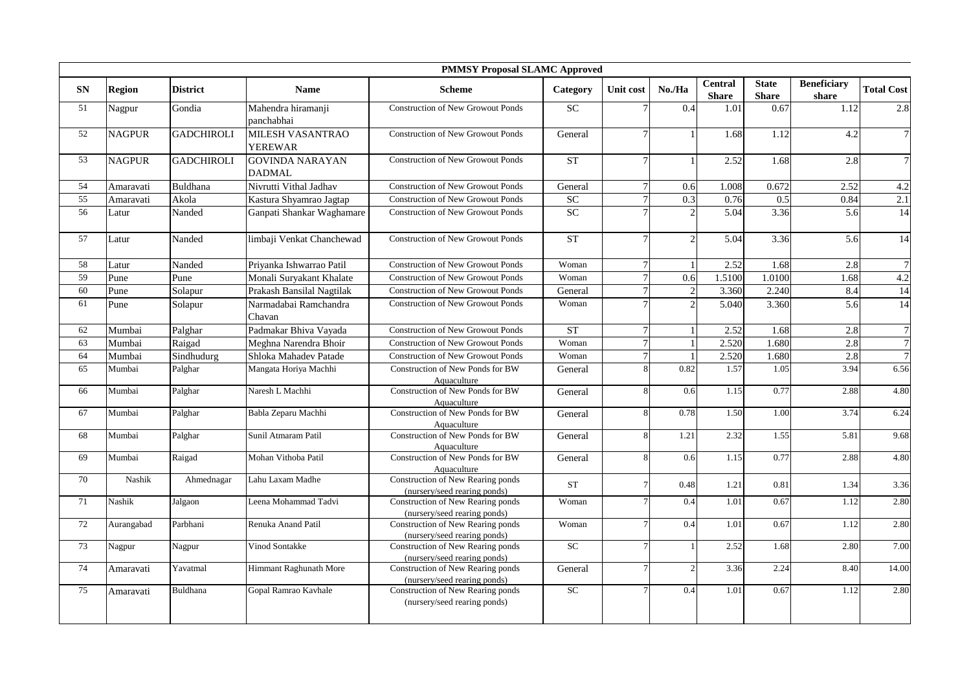|           |               |                   |                                           | <b>PMMSY Proposal SLAMC Approved</b>                              |                 |              |                          |                                |                              |                             |                   |
|-----------|---------------|-------------------|-------------------------------------------|-------------------------------------------------------------------|-----------------|--------------|--------------------------|--------------------------------|------------------------------|-----------------------------|-------------------|
| <b>SN</b> | <b>Region</b> | <b>District</b>   | <b>Name</b>                               | <b>Scheme</b>                                                     | Category        | Unit cost    | No./Ha                   | <b>Central</b><br><b>Share</b> | <b>State</b><br><b>Share</b> | <b>Beneficiary</b><br>share | <b>Total Cost</b> |
| 51        | Nagpur        | Gondia            | Mahendra hiramanji<br>panchabhai          | <b>Construction of New Growout Ponds</b>                          | <b>SC</b>       |              | 0.4                      | 1.01                           | 0.67                         | 1.12                        | 2.8               |
| 52        | <b>NAGPUR</b> | <b>GADCHIROLI</b> | <b>MILESH VASANTRAO</b><br><b>YEREWAR</b> | <b>Construction of New Growout Ponds</b>                          | General         |              |                          | 1.68                           | 1.12                         | 4.2                         | $\overline{7}$    |
| 53        | <b>NAGPUR</b> | <b>GADCHIROLI</b> | <b>GOVINDA NARAYAN</b><br><b>DADMAL</b>   | <b>Construction of New Growout Ponds</b>                          | <b>ST</b>       |              |                          | 2.52                           | 1.68                         | 2.8                         | $\overline{7}$    |
| 54        | Amaravati     | Buldhana          | Nivrutti Vithal Jadhav                    | <b>Construction of New Growout Ponds</b>                          | General         | $\tau$       | 0.6                      | 1.008                          | 0.672                        | 2.52                        | 4.2               |
| 55        | Amaravati     | Akola             | Kastura Shyamrao Jagtap                   | <b>Construction of New Growout Ponds</b>                          | <b>SC</b>       |              | 0.3                      | 0.76                           | 0.5                          | 0.84                        | 2.1               |
| 56        | Latur         | Nanded            | Ganpati Shankar Waghamare                 | <b>Construction of New Growout Ponds</b>                          | <b>SC</b>       |              | $\overline{2}$           | 5.04                           | 3.36                         | 5.6                         | 14                |
| 57        | Latur         | Nanded            | limbaji Venkat Chanchewad                 | <b>Construction of New Growout Ponds</b>                          | ST              |              | $\overline{2}$           | 5.04                           | 3.36                         | 5.6                         | 14                |
| 58        | Latur         | Nanded            | Priyanka Ishwarrao Patil                  | <b>Construction of New Growout Ponds</b>                          | Woman           | $\tau$       |                          | 2.52                           | 1.68                         | 2.8                         | $\overline{7}$    |
| 59        | Pune          | Pune              | Monali Suryakant Khalate                  | <b>Construction of New Growout Ponds</b>                          | Woman           |              | 0.6                      | 1.5100                         | 1.0100                       | 1.68                        | 4.2               |
| 60        | Pune          | Solapur           | Prakash Bansilal Nagtilak                 | <b>Construction of New Growout Ponds</b>                          | General         | $\tau$       | $\overline{2}$           | 3.360                          | 2.240                        | 8.4                         | $\overline{14}$   |
| 61        | Pune          | Solapur           | Narmadabai Ramchandra<br>Chavan           | <b>Construction of New Growout Ponds</b>                          | Woman           |              | $\overline{2}$           | 5.040                          | 3.360                        | 5.6                         | 14                |
| 62        | Mumbai        | Palghar           | Padmakar Bhiva Vayada                     | <b>Construction of New Growout Ponds</b>                          | <b>ST</b>       | $\tau$       |                          | 2.52                           | 1.68                         | 2.8                         | $\overline{7}$    |
| 63        | Mumbai        | Raigad            | Meghna Narendra Bhoir                     | <b>Construction of New Growout Ponds</b>                          | Woman           | $\tau$       |                          | 2.520                          | 1.680                        | 2.8                         | $\overline{7}$    |
| 64        | Mumbai        | Sindhudurg        | Shloka Mahadev Patade                     | <b>Construction of New Growout Ponds</b>                          | Woman           |              | $\overline{1}$           | 2.520                          | 1.680                        | 2.8                         | $\overline{7}$    |
| 65        | Mumbai        | Palghar           | Mangata Horiya Machhi                     | Construction of New Ponds for BW<br>Aquaculture                   | General         |              | 0.82                     | 1.57                           | 1.05                         | 3.94                        | 6.56              |
| 66        | Mumbai        | Palghar           | Naresh L Machhi                           | Construction of New Ponds for BW<br>Aquaculture                   | General         | $\mathbf{8}$ | 0.6                      | 1.15                           | 0.77                         | 2.88                        | 4.80              |
| 67        | Mumbai        | Palghar           | Babla Zeparu Machhi                       | Construction of New Ponds for BW<br>Aquaculture                   | General         | $\mathbf{8}$ | 0.78                     | 1.50                           | 1.00                         | 3.74                        | 6.24              |
| 68        | Mumbai        | Palghar           | Sunil Atmaram Patil                       | Construction of New Ponds for BW<br>Aquaculture                   | General         | 8            | 1.21                     | 2.32                           | 1.55                         | 5.81                        | 9.68              |
| 69        | Mumbai        | Raigad            | Mohan Vithoba Patil                       | Construction of New Ponds for BW<br>Aquaculture                   | General         |              | 0.6                      | 1.15                           | 0.77                         | 2.88                        | 4.80              |
| 70        | Nashik        | Ahmednagar        | Lahu Laxam Madhe                          | Construction of New Rearing ponds<br>(nursery/seed rearing ponds) | <b>ST</b>       |              | 0.48                     | 1.21                           | 0.81                         | 1.34                        | 3.36              |
| 71        | Nashik        | Jalgaon           | Leena Mohammad Tadvi                      | Construction of New Rearing ponds<br>(nursery/seed rearing ponds) | Woman           |              | 0.4                      | 1.01                           | 0.67                         | 1.12                        | 2.80              |
| 72        | Aurangabad    | Parbhani          | Renuka Anand Patil                        | Construction of New Rearing ponds<br>(nursery/seed rearing ponds) | Woman           |              | 0.4                      | 1.01                           | 0.67                         | 1.12                        | 2.80              |
| 73        | Nagpur        | Nagpur            | Vinod Sontakke                            | Construction of New Rearing ponds<br>(nursery/seed rearing ponds) | <b>SC</b>       |              |                          | 2.52                           | 1.68                         | 2.80                        | 7.00              |
| 74        | Amaravati     | Yavatmal          | Himmant Raghunath More                    | Construction of New Rearing ponds<br>(nursery/seed rearing ponds) | General         |              | $\overline{\mathcal{L}}$ | 3.36                           | 2.24                         | 8.40                        | 14.00             |
| 75        | Amaravati     | Buldhana          | Gopal Ramrao Kavhale                      | Construction of New Rearing ponds<br>(nursery/seed rearing ponds) | SC <sub>1</sub> |              | 0.4                      | 1.01                           | 0.67                         | 1.12                        | 2.80              |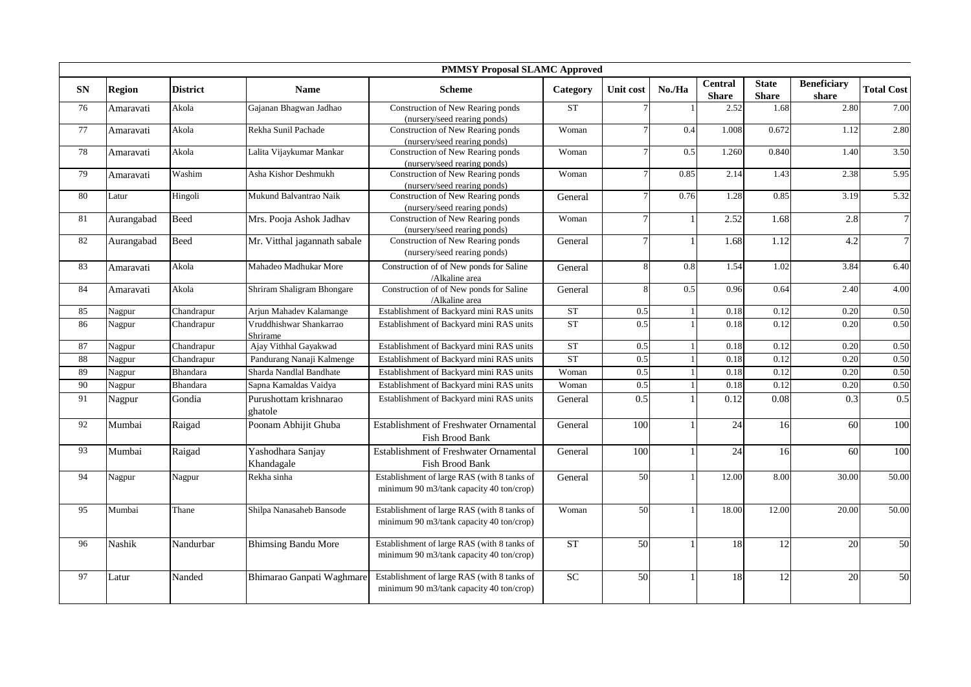|            |               |                 |                                     | <b>PMMSY Proposal SLAMC Approved</b>                                                    |           |                  |        |                                |                              |                             |                   |
|------------|---------------|-----------------|-------------------------------------|-----------------------------------------------------------------------------------------|-----------|------------------|--------|--------------------------------|------------------------------|-----------------------------|-------------------|
| ${\bf SN}$ | <b>Region</b> | <b>District</b> | <b>Name</b>                         | <b>Scheme</b>                                                                           | Category  | <b>Unit cost</b> | No./Ha | <b>Central</b><br><b>Share</b> | <b>State</b><br><b>Share</b> | <b>Beneficiary</b><br>share | <b>Total Cost</b> |
| 76         | Amaravati     | Akola           | Gajanan Bhagwan Jadhao              | Construction of New Rearing ponds<br>(nursery/seed rearing ponds)                       | <b>ST</b> |                  |        | 2.52                           | 1.68                         | 2.80                        | 7.00              |
| 77         | Amaravati     | Akola           | Rekha Sunil Pachade                 | Construction of New Rearing ponds<br>(nursery/seed rearing ponds)                       | Woman     |                  | 0.4    | 1.008                          | 0.672                        | 1.12                        | 2.80              |
| 78         | Amaravati     | Akola           | Lalita Vijaykumar Mankar            | Construction of New Rearing ponds<br>(nursery/seed rearing ponds)                       | Woman     |                  | 0.5    | 1.260                          | 0.840                        | 1.40                        | 3.50              |
| 79         | Amaravati     | Washim          | Asha Kishor Deshmukh                | Construction of New Rearing ponds<br>(nursery/seed rearing ponds)                       | Woman     |                  | 0.85   | 2.14                           | 1.43                         | 2.38                        | 5.95              |
| 80         | Latur         | Hingoli         | Mukund Balvantrao Naik              | Construction of New Rearing ponds<br>(nursery/seed rearing ponds)                       | General   |                  | 0.76   | 1.28                           | 0.85                         | 3.19                        | 5.32              |
| 81         | Aurangabad    | Beed            | Mrs. Pooja Ashok Jadhav             | Construction of New Rearing ponds<br>(nursery/seed rearing ponds)                       | Woman     |                  |        | 2.52                           | 1.68                         | 2.8                         | $\overline{7}$    |
| 82         | Aurangabad    | <b>Beed</b>     | Mr. Vitthal jagannath sabale        | Construction of New Rearing ponds<br>(nursery/seed rearing ponds)                       | General   |                  |        | 1.68                           | 1.12                         | 4.2                         | $\overline{7}$    |
| 83         | Amaravati     | Akola           | Mahadeo Madhukar More               | Construction of of New ponds for Saline<br>/Alkaline area                               | General   |                  | 0.8    | 1.54                           | 1.02                         | 3.84                        | 6.40              |
| 84         | Amaravati     | Akola           | Shriram Shaligram Bhongare          | Construction of of New ponds for Saline<br>/Alkaline area                               | General   |                  | 0.5    | 0.96                           | 0.64                         | 2.40                        | 4.00              |
| 85         | Nagpur        | Chandrapur      | Arjun Mahadev Kalamange             | Establishment of Backyard mini RAS units                                                | <b>ST</b> | 0.5              |        | 0.18                           | 0.12                         | 0.20                        | 0.50              |
| 86         | Nagpur        | Chandrapur      | Vruddhishwar Shankarrao<br>Shrirame | Establishment of Backyard mini RAS units                                                | <b>ST</b> | 0.5              |        | 0.18                           | 0.12                         | 0.20                        | 0.50              |
| 87         | Nagpur        | Chandrapur      | Ajay Vithhal Gayakwad               | Establishment of Backyard mini RAS units                                                | <b>ST</b> | 0.5              |        | 0.18                           | 0.12                         | 0.20                        | 0.50              |
| 88         | Nagpur        | Chandrapur      | Pandurang Nanaji Kalmenge           | Establishment of Backyard mini RAS units                                                | ST        | 0.5              |        | 0.18                           | 0.12                         | 0.20                        | 0.50              |
| 89         | Nagpur        | Bhandara        | Sharda Nandlal Bandhate             | Establishment of Backyard mini RAS units                                                | Woman     | 0.5              |        | 0.18                           | 0.12                         | 0.20                        | 0.50              |
| 90         | Nagpur        | Bhandara        | Sapna Kamaldas Vaidya               | Establishment of Backyard mini RAS units                                                | Woman     | 0.5              |        | 0.18                           | 0.12                         | 0.20                        | 0.50              |
| 91         | Nagpur        | Gondia          | Purushottam krishnarao<br>ghatole   | Establishment of Backyard mini RAS units                                                | General   | 0.5              |        | 0.12                           | 0.08                         | 0.3                         | 0.5               |
| 92         | Mumbai        | Raigad          | Poonam Abhijit Ghuba                | Establishment of Freshwater Ornamental<br>Fish Brood Bank                               | General   | 100              |        | 24                             | 16                           | 60                          | 100               |
| 93         | Mumbai        | Raigad          | Yashodhara Sanjay<br>Khandagale     | Establishment of Freshwater Ornamental<br>Fish Brood Bank                               | General   | 100              |        | 24                             | 16                           | 60                          | 100               |
| 94         | Nagpur        | Nagpur          | Rekha sinha                         | Establishment of large RAS (with 8 tanks of<br>minimum 90 m3/tank capacity 40 ton/crop) | General   | 50               |        | 12.00                          | 8.00                         | 30.00                       | 50.00             |
| 95         | Mumbai        | Thane           | Shilpa Nanasaheb Bansode            | Establishment of large RAS (with 8 tanks of<br>minimum 90 m3/tank capacity 40 ton/crop) | Woman     | 50               |        | 18.00                          | 12.00                        | 20.00                       | 50.00             |
| 96         | Nashik        | Nandurbar       | <b>Bhimsing Bandu More</b>          | Establishment of large RAS (with 8 tanks of<br>minimum 90 m3/tank capacity 40 ton/crop) | <b>ST</b> | 50               |        | 18                             | 12                           | 20                          | 50                |
| 97         | Latur         | Nanded          | Bhimarao Ganpati Waghmare           | Establishment of large RAS (with 8 tanks of<br>minimum 90 m3/tank capacity 40 ton/crop) | <b>SC</b> | $\overline{50}$  |        | 18                             | 12                           | 20                          | 50                |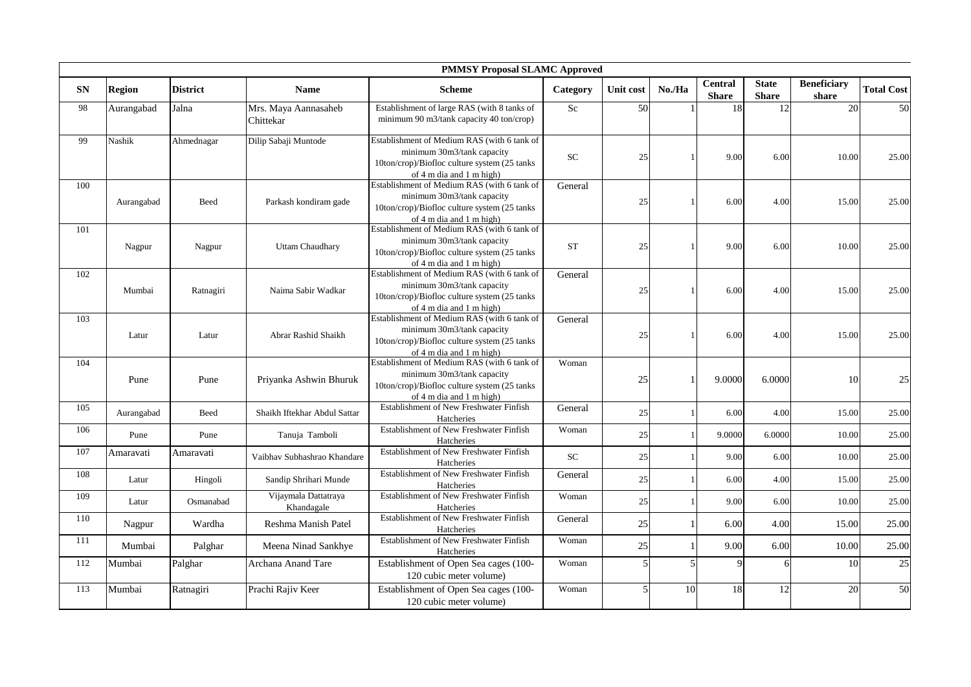|            |               |                 |                                    | <b>PMMSY Proposal SLAMC Approved</b>                                                                                                                                      |           |           |        |                                |                              |                             |                   |
|------------|---------------|-----------------|------------------------------------|---------------------------------------------------------------------------------------------------------------------------------------------------------------------------|-----------|-----------|--------|--------------------------------|------------------------------|-----------------------------|-------------------|
| ${\bf SN}$ | <b>Region</b> | <b>District</b> | <b>Name</b>                        | <b>Scheme</b>                                                                                                                                                             | Category  | Unit cost | No./Ha | <b>Central</b><br><b>Share</b> | <b>State</b><br><b>Share</b> | <b>Beneficiary</b><br>share | <b>Total Cost</b> |
| 98         | Aurangabad    | Jalna           | Mrs. Maya Aannasaheb<br>Chittekar  | Establishment of large RAS (with 8 tanks of<br>minimum 90 m3/tank capacity 40 ton/crop)                                                                                   | $\rm Sc$  | 50        |        | 18                             | 12                           | 20                          | 50                |
| 99         | Nashik        | Ahmednagar      | Dilip Sabaji Muntode               | Establishment of Medium RAS (with 6 tank of<br>minimum 30m3/tank capacity<br>10ton/crop)/Biofloc culture system (25 tanks<br>of $4 \text{ m}$ dia and $1 \text{ m}$ high) | SC        | 25        |        | 9.00                           | 6.00                         | 10.00                       | 25.00             |
| 100        | Aurangabad    | Beed            | Parkash kondiram gade              | Establishment of Medium RAS (with 6 tank of<br>minimum 30m3/tank capacity<br>10ton/crop)/Biofloc culture system (25 tanks<br>of $4 \text{ m}$ dia and $1 \text{ m}$ high) | General   | 25        |        | 6.00                           | 4.00                         | 15.00                       | 25.00             |
| 101        | Nagpur        | Nagpur          | <b>Uttam Chaudhary</b>             | Establishment of Medium RAS (with 6 tank of<br>minimum 30m3/tank capacity<br>10ton/crop)/Biofloc culture system (25 tanks<br>of $4 \text{ m}$ dia and $1 \text{ m}$ high) | <b>ST</b> | 25        |        | 9.00                           | 6.00                         | 10.00                       | 25.00             |
| 102        | Mumbai        | Ratnagiri       | Naima Sabir Wadkar                 | Establishment of Medium RAS (with 6 tank of<br>minimum 30m3/tank capacity<br>10ton/crop)/Biofloc culture system (25 tanks<br>of $4 \text{ m}$ dia and $1 \text{ m}$ high) | General   | 25        |        | 6.00                           | 4.00                         | 15.00                       | 25.00             |
| 103        | Latur         | Latur           | Abrar Rashid Shaikh                | Establishment of Medium RAS (with 6 tank of<br>minimum 30m3/tank capacity<br>10ton/crop)/Biofloc culture system (25 tanks<br>of $4 \text{ m}$ dia and $1 \text{ m}$ high) | General   | 25        |        | 6.00                           | 4.00                         | 15.00                       | 25.00             |
| 104        | Pune          | Pune            | Priyanka Ashwin Bhuruk             | Establishment of Medium RAS (with 6 tank of<br>minimum 30m3/tank capacity<br>10ton/crop)/Biofloc culture system (25 tanks<br>of $4 \text{ m}$ dia and $1 \text{ m}$ high) | Woman     | 25        |        | 9.0000                         | 6.0000                       | 10                          | 25                |
| 105        | Aurangabad    | Beed            | Shaikh Iftekhar Abdul Sattar       | Establishment of New Freshwater Finfish<br>Hatcheries                                                                                                                     | General   | 25        |        | 6.00                           | 4.00                         | 15.00                       | 25.00             |
| 106        | Pune          | Pune            | Tanuja Tamboli                     | Establishment of New Freshwater Finfish<br>Hatcheries                                                                                                                     | Woman     | 25        |        | 9.0000                         | 6.0000                       | 10.00                       | 25.00             |
| 107        | Amaravati     | Amaravati       | Vaibhav Subhashrao Khandare        | Establishment of New Freshwater Finfish<br>Hatcheries                                                                                                                     | <b>SC</b> | 25        |        | 9.00                           | 6.00                         | 10.00                       | 25.00             |
| 108        | Latur         | Hingoli         | Sandip Shrihari Munde              | <b>Establishment of New Freshwater Finfish</b><br>Hatcheries                                                                                                              | General   | 25        |        | 6.00                           | 4.00                         | 15.00                       | 25.00             |
| 109        | Latur         | Osmanabad       | Vijaymala Dattatraya<br>Khandagale | Establishment of New Freshwater Finfish<br>Hatcheries                                                                                                                     | Woman     | 25        |        | 9.00                           | 6.00                         | 10.00                       | 25.00             |
| 110        | Nagpur        | Wardha          | Reshma Manish Patel                | Establishment of New Freshwater Finfish<br>Hatcheries                                                                                                                     | General   | 25        |        | 6.00                           | 4.00                         | 15.00                       | 25.00             |
| 111        | Mumbai        | Palghar         | Meena Ninad Sankhye                | Establishment of New Freshwater Finfish<br>Hatcheries                                                                                                                     | Woman     | 25        |        | 9.00                           | 6.00                         | 10.00                       | 25.00             |
| 112        | Mumbai        | Palghar         | Archana Anand Tare                 | Establishment of Open Sea cages (100-<br>120 cubic meter volume)                                                                                                          | Woman     |           | 5      | 9                              | 6                            | 10                          | 25                |
| 113        | Mumbai        | Ratnagiri       | Prachi Rajiv Keer                  | Establishment of Open Sea cages (100-<br>120 cubic meter volume)                                                                                                          | Woman     |           | 10     | 18                             | 12                           | 20                          | 50                |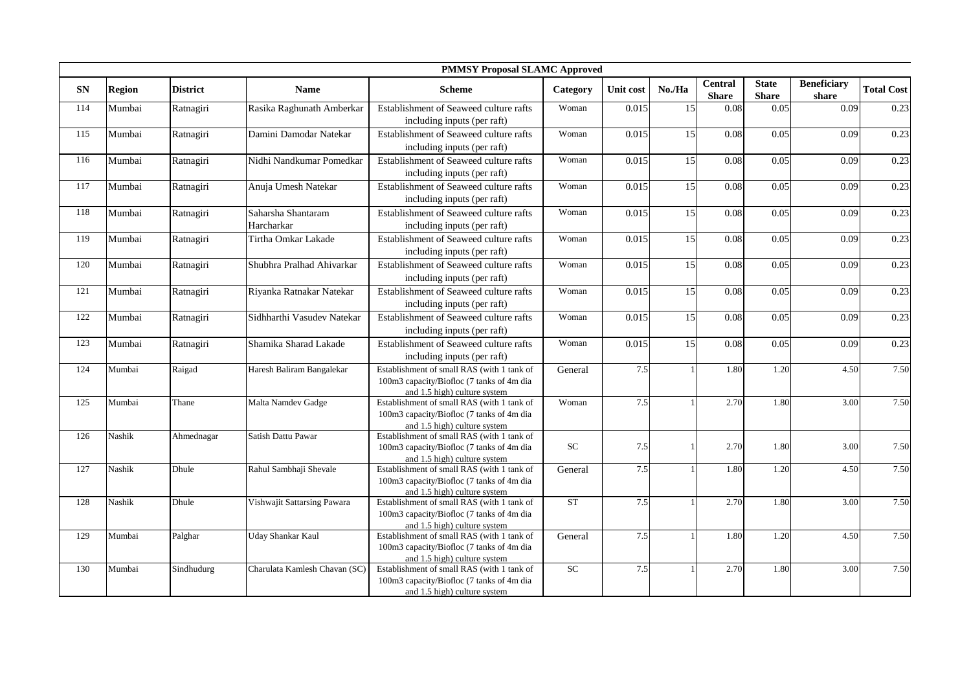|            |               |                 |                                  | <b>PMMSY Proposal SLAMC Approved</b>                                                                                    |           |           |        |                                |                              |                             |                   |
|------------|---------------|-----------------|----------------------------------|-------------------------------------------------------------------------------------------------------------------------|-----------|-----------|--------|--------------------------------|------------------------------|-----------------------------|-------------------|
| ${\bf SN}$ | <b>Region</b> | <b>District</b> | <b>Name</b>                      | <b>Scheme</b>                                                                                                           | Category  | Unit cost | No./Ha | <b>Central</b><br><b>Share</b> | <b>State</b><br><b>Share</b> | <b>Beneficiary</b><br>share | <b>Total Cost</b> |
| 114        | Mumbai        | Ratnagiri       | Rasika Raghunath Amberkar        | Establishment of Seaweed culture rafts<br>including inputs (per raft)                                                   | Woman     | 0.015     | 15     | 0.08                           | 0.05                         | 0.09                        | 0.23              |
| 115        | Mumbai        | Ratnagiri       | Damini Damodar Natekar           | Establishment of Seaweed culture rafts<br>including inputs (per raft)                                                   | Woman     | 0.015     | 15     | 0.08                           | 0.05                         | 0.09                        | 0.23              |
| 116        | Mumbai        | Ratnagiri       | Nidhi Nandkumar Pomedkar         | Establishment of Seaweed culture rafts<br>including inputs (per raft)                                                   | Woman     | 0.015     | 15     | 0.08                           | 0.05                         | 0.09                        | 0.23              |
| 117        | Mumbai        | Ratnagiri       | Anuja Umesh Natekar              | Establishment of Seaweed culture rafts<br>including inputs (per raft)                                                   | Woman     | 0.015     | 15     | 0.08                           | 0.05                         | 0.09                        | 0.23              |
| 118        | Mumbai        | Ratnagiri       | Saharsha Shantaram<br>Harcharkar | Establishment of Seaweed culture rafts<br>including inputs (per raft)                                                   | Woman     | 0.015     | 15     | 0.08                           | 0.05                         | 0.09                        | 0.23              |
| 119        | Mumbai        | Ratnagiri       | Tirtha Omkar Lakade              | Establishment of Seaweed culture rafts<br>including inputs (per raft)                                                   | Woman     | 0.015     | 15     | 0.08                           | 0.05                         | 0.09                        | 0.23              |
| 120        | Mumbai        | Ratnagiri       | Shubhra Pralhad Ahivarkar        | Establishment of Seaweed culture rafts<br>including inputs (per raft)                                                   | Woman     | 0.015     | 15     | 0.08                           | 0.05                         | 0.09                        | 0.23              |
| 121        | Mumbai        | Ratnagiri       | Riyanka Ratnakar Natekar         | Establishment of Seaweed culture rafts<br>including inputs (per raft)                                                   | Woman     | 0.015     | 15     | 0.08                           | 0.05                         | 0.09                        | 0.23              |
| 122        | Mumbai        | Ratnagiri       | Sidhharthi Vasudev Natekar       | Establishment of Seaweed culture rafts<br>including inputs (per raft)                                                   | Woman     | 0.015     | 15     | 0.08                           | 0.05                         | 0.09                        | 0.23              |
| 123        | Mumbai        | Ratnagiri       | Shamika Sharad Lakade            | Establishment of Seaweed culture rafts<br>including inputs (per raft)                                                   | Woman     | 0.015     | 15     | 0.08                           | 0.05                         | 0.09                        | 0.23              |
| 124        | Mumbai        | Raigad          | Haresh Baliram Bangalekar        | Establishment of small RAS (with 1 tank of<br>100m3 capacity/Biofloc (7 tanks of 4m dia<br>and 1.5 high) culture system | General   | 7.5       |        | 1.80                           | 1.20                         | 4.50                        | 7.50              |
| 125        | Mumbai        | Thane           | Malta Namdev Gadge               | Establishment of small RAS (with 1 tank of<br>100m3 capacity/Biofloc (7 tanks of 4m dia<br>and 1.5 high) culture system | Woman     | 7.5       |        | 2.70                           | 1.80                         | 3.00                        | 7.50              |
| 126        | Nashik        | Ahmednagar      | Satish Dattu Pawar               | Establishment of small RAS (with 1 tank of<br>100m3 capacity/Biofloc (7 tanks of 4m dia<br>and 1.5 high) culture system | <b>SC</b> | 7.5       | -1     | 2.70                           | 1.80                         | 3.00                        | 7.50              |
| 127        | Nashik        | Dhule           | Rahul Sambhaji Shevale           | Establishment of small RAS (with 1 tank of<br>100m3 capacity/Biofloc (7 tanks of 4m dia<br>and 1.5 high) culture system | General   | 7.5       |        | 1.80                           | 1.20                         | 4.50                        | 7.50              |
| 128        | Nashik        | Dhule           | Vishwajit Sattarsing Pawara      | Establishment of small RAS (with 1 tank of<br>100m3 capacity/Biofloc (7 tanks of 4m dia<br>and 1.5 high) culture system | <b>ST</b> | 7.5       |        | 2.70                           | 1.80                         | 3.00                        | 7.50              |
| 129        | Mumbai        | Palghar         | <b>Uday Shankar Kaul</b>         | Establishment of small RAS (with 1 tank of<br>100m3 capacity/Biofloc (7 tanks of 4m dia<br>and 1.5 high) culture system | General   | 7.5       |        | 1.80                           | 1.20                         | 4.50                        | 7.50              |
| 130        | Mumbai        | Sindhudurg      | Charulata Kamlesh Chavan (SC)    | Establishment of small RAS (with 1 tank of<br>100m3 capacity/Biofloc (7 tanks of 4m dia<br>and 1.5 high) culture system | SC        | 7.5       |        | 2.70                           | 1.80                         | 3.00                        | 7.50              |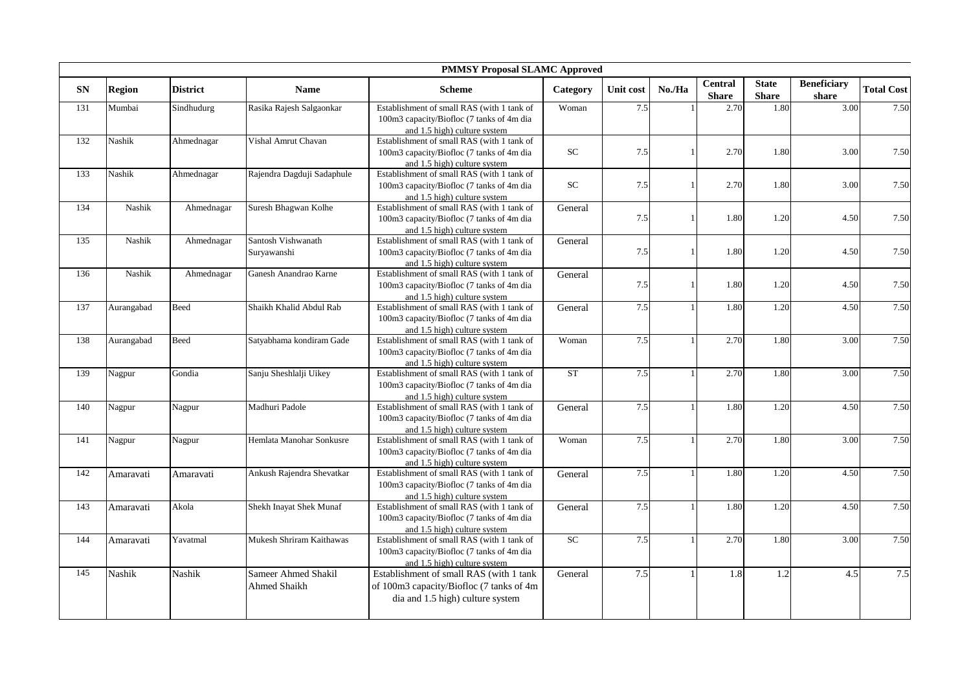|           |               |                 |                                     | <b>PMMSY Proposal SLAMC Approved</b>                                                                                     |            |           |              |                                |                              |                             |                   |
|-----------|---------------|-----------------|-------------------------------------|--------------------------------------------------------------------------------------------------------------------------|------------|-----------|--------------|--------------------------------|------------------------------|-----------------------------|-------------------|
| <b>SN</b> | <b>Region</b> | <b>District</b> | <b>Name</b>                         | <b>Scheme</b>                                                                                                            | Category   | Unit cost | No./Ha       | <b>Central</b><br><b>Share</b> | <b>State</b><br><b>Share</b> | <b>Beneficiary</b><br>share | <b>Total Cost</b> |
| 131       | Mumbai        | Sindhudurg      | Rasika Rajesh Salgaonkar            | Establishment of small RAS (with 1 tank of<br>100m3 capacity/Biofloc (7 tanks of 4m dia<br>and 1.5 high) culture system  | Woman      | 7.5       |              | 2.70                           | 1.80                         | 3.00                        | 7.50              |
| 132       | Nashik        | Ahmednagar      | Vishal Amrut Chavan                 | Establishment of small RAS (with 1 tank of<br>100m3 capacity/Biofloc (7 tanks of 4m dia<br>and 1.5 high) culture system  | ${\rm SC}$ | 7.5       |              | 2.70                           | 1.80                         | 3.00                        | 7.50              |
| 133       | Nashik        | Ahmednagar      | Rajendra Dagduji Sadaphule          | Establishment of small RAS (with 1 tank of<br>100m3 capacity/Biofloc (7 tanks of 4m dia<br>and 1.5 high) culture system  | SC         | 7.5       |              | 2.70                           | 1.80                         | 3.00                        | 7.50              |
| 134       | Nashik        | Ahmednagar      | Suresh Bhagwan Kolhe                | Establishment of small RAS (with 1 tank of<br>100m3 capacity/Biofloc (7 tanks of 4m dia<br>and 1.5 high) culture system  | General    | 7.5       |              | 1.80                           | 1.20                         | 4.50                        | 7.50              |
| 135       | Nashik        | Ahmednagar      | Santosh Vishwanath<br>Suryawanshi   | Establishment of small RAS (with 1 tank of<br>100m3 capacity/Biofloc (7 tanks of 4m dia<br>and 1.5 high) culture system  | General    | 7.5       |              | 1.80                           | 1.20                         | 4.50                        | 7.50              |
| 136       | Nashik        | Ahmednagar      | Ganesh Anandrao Karne               | Establishment of small RAS (with 1 tank of<br>100m3 capacity/Biofloc (7 tanks of 4m dia<br>and 1.5 high) culture system  | General    | 7.5       | $\mathbf{1}$ | 1.80                           | 1.20                         | 4.50                        | 7.50              |
| 137       | Aurangabad    | Beed            | Shaikh Khalid Abdul Rab             | Establishment of small RAS (with 1 tank of<br>100m3 capacity/Biofloc (7 tanks of 4m dia<br>and 1.5 high) culture system  | General    | 7.5       |              | 1.80                           | 1.20                         | 4.50                        | 7.50              |
| 138       | Aurangabad    | Beed            | Satyabhama kondiram Gade            | Establishment of small RAS (with 1 tank of<br>100m3 capacity/Biofloc (7 tanks of 4m dia<br>and 1.5 high) culture system  | Woman      | 7.5       |              | 2.70                           | 1.80                         | 3.00                        | 7.50              |
| 139       | Nagpur        | Gondia          | Sanju Sheshlalji Uikey              | Establishment of small RAS (with 1 tank of<br>100m3 capacity/Biofloc (7 tanks of 4m dia<br>and 1.5 high) culture system  | <b>ST</b>  | 7.5       |              | 2.70                           | 1.80                         | 3.00                        | 7.50              |
| 140       | Nagpur        | Nagpur          | Madhuri Padole                      | Establishment of small RAS (with 1 tank of<br>100m3 capacity/Biofloc (7 tanks of 4m dia<br>and 1.5 high) culture system  | General    | 7.5       |              | 1.80                           | 1.20                         | 4.50                        | 7.50              |
| 141       | Nagpur        | Nagpur          | Hemlata Manohar Sonkusre            | Establishment of small RAS (with 1 tank of<br>100m3 capacity/Biofloc (7 tanks of 4m dia<br>and 1.5 high) culture system  | Woman      | 7.5       |              | 2.70                           | 1.80                         | 3.00                        | 7.50              |
| 142       | Amaravati     | Amaravati       | Ankush Rajendra Shevatkar           | Establishment of small RAS (with 1 tank of<br>100m3 capacity/Biofloc (7 tanks of 4m dia<br>and 1.5 high) culture system  | General    | 7.5       |              | 1.80                           | 1.20                         | 4.50                        | 7.50              |
| 143       | Amaravati     | Akola           | Shekh Inayat Shek Munaf             | Establishment of small RAS (with 1 tank of<br>100m3 capacity/Biofloc (7 tanks of 4m dia<br>and 1.5 high) culture system  | General    | 7.5       |              | 1.80                           | 1.20                         | 4.50                        | 7.50              |
| 144       | Amaravati     | Yavatmal        | Mukesh Shriram Kaithawas            | Establishment of small RAS (with 1 tank of<br>100m3 capacity/Biofloc (7 tanks of 4m dia<br>and 1.5 high) culture system  | SC         | 7.5       |              | 2.70                           | 1.80                         | 3.00                        | 7.50              |
| 145       | Nashik        | Nashik          | Sameer Ahmed Shakil<br>Ahmed Shaikh | Establishment of small RAS (with 1 tank<br>of 100m3 capacity/Biofloc (7 tanks of 4m)<br>dia and 1.5 high) culture system | General    | 7.5       |              | 1.8                            | 1.2                          | 4.5                         | 7.5               |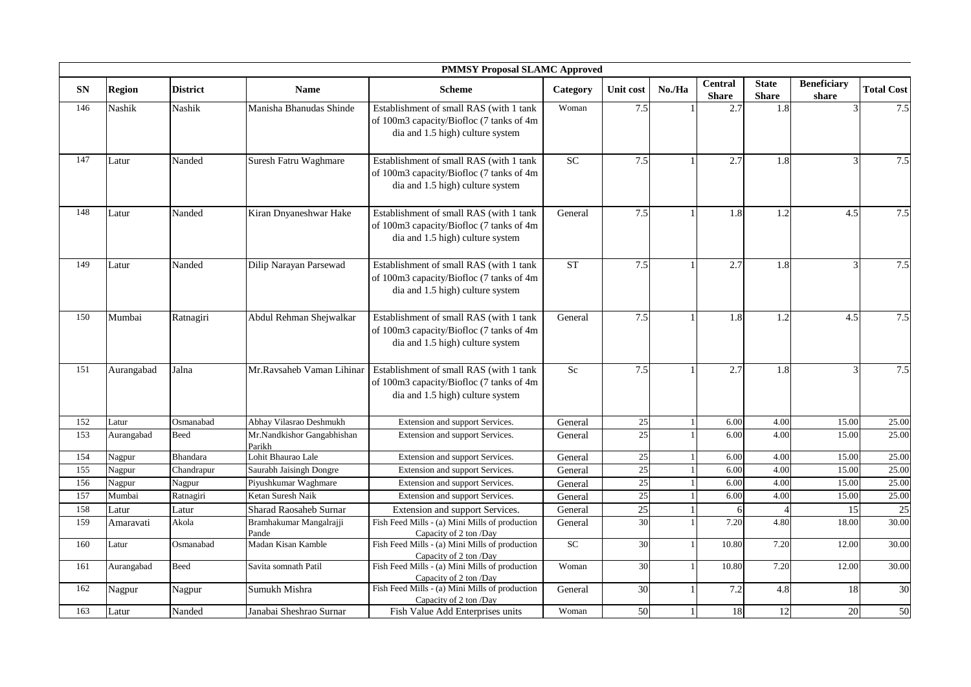|           |               |                 |                                      | <b>PMMSY Proposal SLAMC Approved</b>                                                                                    |            |           |        |                                |                              |                             |                   |
|-----------|---------------|-----------------|--------------------------------------|-------------------------------------------------------------------------------------------------------------------------|------------|-----------|--------|--------------------------------|------------------------------|-----------------------------|-------------------|
| <b>SN</b> | <b>Region</b> | <b>District</b> | <b>Name</b>                          | <b>Scheme</b>                                                                                                           | Category   | Unit cost | No./Ha | <b>Central</b><br><b>Share</b> | <b>State</b><br><b>Share</b> | <b>Beneficiary</b><br>share | <b>Total Cost</b> |
| 146       | Nashik        | <b>Nashik</b>   | Manisha Bhanudas Shinde              | Establishment of small RAS (with 1 tank<br>of 100m3 capacity/Biofloc (7 tanks of 4m<br>dia and 1.5 high) culture system | Woman      | 7.5       |        | 2.7                            | 1.8                          |                             | 7.5               |
| 147       | Latur         | Nanded          | Suresh Fatru Waghmare                | Establishment of small RAS (with 1 tank<br>of 100m3 capacity/Biofloc (7 tanks of 4m<br>dia and 1.5 high) culture system | <b>SC</b>  | 7.5       | -1     | 2.7                            | 1.8                          | $\overline{a}$              | 7.5               |
| 148       | Latur         | Nanded          | Kiran Dnyaneshwar Hake               | Establishment of small RAS (with 1 tank<br>of 100m3 capacity/Biofloc (7 tanks of 4m<br>dia and 1.5 high) culture system | General    | 7.5       | 1      | 1.8                            | 1.2                          | 4.5                         | 7.5               |
| 149       | Latur         | Nanded          | Dilip Narayan Parsewad               | Establishment of small RAS (with 1 tank<br>of 100m3 capacity/Biofloc (7 tanks of 4m<br>dia and 1.5 high) culture system | <b>ST</b>  | 7.5       |        | 2.7                            | 1.8                          | $\mathbf{3}$                | 7.5               |
| 150       | Mumbai        | Ratnagiri       | Abdul Rehman Shejwalkar              | Establishment of small RAS (with 1 tank<br>of 100m3 capacity/Biofloc (7 tanks of 4m<br>dia and 1.5 high) culture system | General    | 7.5       | -1     | 1.8                            | 1.2                          | 4.5                         | 7.5               |
| 151       | Aurangabad    | Jalna           | Mr.Ravsaheb Vaman Lihinar            | Establishment of small RAS (with 1 tank<br>of 100m3 capacity/Biofloc (7 tanks of 4m<br>dia and 1.5 high) culture system | $S_{c}$    | 7.5       |        | 2.7                            | 1.8                          |                             | 7.5               |
| 152       | Latur         | Osmanabad       | Abhay Vilasrao Deshmukh              | Extension and support Services.                                                                                         | General    | $25\,$    |        | 6.00                           | 4.00                         | 15.00                       | 25.00             |
| 153       | Aurangabad    | Beed            | Mr.Nandkishor Gangabhishan<br>Parikh | Extension and support Services.                                                                                         | General    | 25        |        | 6.00                           | 4.00                         | 15.00                       | 25.00             |
| 154       | Nagpur        | Bhandara        | Lohit Bhaurao Lale                   | Extension and support Services.                                                                                         | General    | $25\,$    |        | 6.00                           | 4.00                         | 15.00                       | 25.00             |
| 155       | Nagpur        | Chandrapur      | Saurabh Jaisingh Dongre              | Extension and support Services.                                                                                         | General    | 25        |        | 6.00                           | 4.00                         | 15.00                       | 25.00             |
| 156       | Nagpur        | Nagpur          | Piyushkumar Waghmare                 | Extension and support Services.                                                                                         | General    | 25        |        | 6.00                           | 4.00                         | 15.00                       | 25.00             |
| 157       | Mumbai        | Ratnagiri       | Ketan Suresh Naik                    | Extension and support Services.                                                                                         | General    | 25        |        | 6.00                           | 4.00                         | 15.00                       | 25.00             |
| 158       | Latur         | Latur           | <b>Sharad Raosaheb Surnar</b>        | Extension and support Services.                                                                                         | General    | 25        |        | 6                              | $\overline{4}$               | 15                          | 25                |
| 159       | Amaravati     | Akola           | Bramhakumar Mangalrajji<br>Pande     | Fish Feed Mills - (a) Mini Mills of production<br>Capacity of 2 ton /Day                                                | General    | 30        |        | 7.20                           | 4.80                         | 18.00                       | 30.00             |
| 160       | Latur         | Osmanabad       | Madan Kisan Kamble                   | Fish Feed Mills - (a) Mini Mills of production<br>Capacity of 2 ton /Day                                                | ${\rm SC}$ | 30        |        | 10.80                          | 7.20                         | 12.00                       | 30.00             |
| 161       | Aurangabad    | Beed            | Savita somnath Patil                 | Fish Feed Mills - (a) Mini Mills of production<br>Capacity of 2 ton /Day                                                | Woman      | 30        |        | 10.80                          | 7.20                         | 12.00                       | 30.00             |
| 162       | Nagpur        | Nagpur          | Sumukh Mishra                        | Fish Feed Mills - (a) Mini Mills of production<br>Capacity of 2 ton /Day                                                | General    | 30        |        | 7.2                            | 4.8                          | 18                          | 30                |
| 163       | Latur         | Nanded          | Janabai Sheshrao Surnar              | Fish Value Add Enterprises units                                                                                        | Woman      | 50        | 1      | 18                             | 12                           | 20                          | $\overline{50}$   |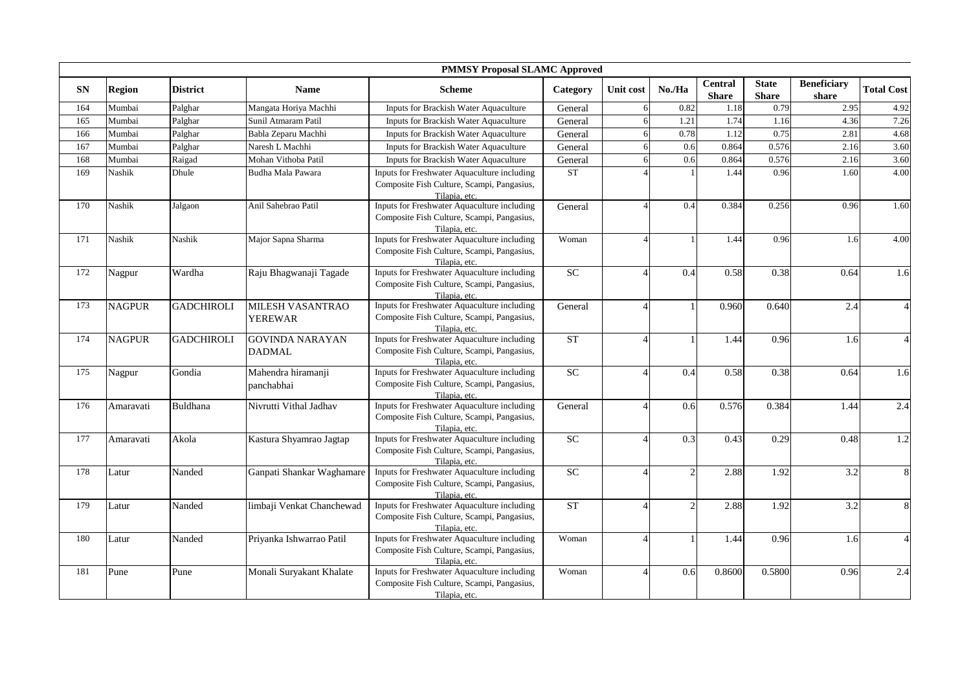|            |               |                   |                                         | <b>PMMSY Proposal SLAMC Approved</b>                                                                       |          |           |                |                                |                              |                             |                          |
|------------|---------------|-------------------|-----------------------------------------|------------------------------------------------------------------------------------------------------------|----------|-----------|----------------|--------------------------------|------------------------------|-----------------------------|--------------------------|
| ${\bf SN}$ | <b>Region</b> | <b>District</b>   | <b>Name</b>                             | <b>Scheme</b>                                                                                              | Category | Unit cost | No./Ha         | <b>Central</b><br><b>Share</b> | <b>State</b><br><b>Share</b> | <b>Beneficiary</b><br>share | <b>Total Cost</b>        |
| 164        | Mumbai        | Palghar           | Mangata Horiya Machhi                   | Inputs for Brackish Water Aquaculture                                                                      | General  |           | 0.82           | 1.18                           | 0.79                         | 2.95                        | 4.92                     |
| 165        | Mumbai        | Palghar           | Sunil Atmaram Patil                     | Inputs for Brackish Water Aquaculture                                                                      | General  |           | 1.21           | 1.74                           | 1.16                         | 4.36                        | 7.26                     |
| 166        | Mumbai        | Palghar           | Babla Zeparu Machhi                     | Inputs for Brackish Water Aquaculture                                                                      | General  |           | 0.78           | 1.12                           | 0.75                         | 2.81                        | 4.68                     |
| 167        | Mumbai        | Palghar           | Naresh L Machhi                         | Inputs for Brackish Water Aquaculture                                                                      | General  |           | 0.6            | 0.864                          | 0.576                        | 2.16                        | 3.60                     |
| 168        | Mumbai        | Raigad            | Mohan Vithoba Patil                     | Inputs for Brackish Water Aquaculture                                                                      | General  |           | 0.6            | 0.864                          | 0.576                        | 2.16                        | 3.60                     |
| 169        | Nashik        | Dhule             | Budha Mala Pawara                       | Inputs for Freshwater Aquaculture including<br>Composite Fish Culture, Scampi, Pangasius,<br>Tilapia, etc. | ST       |           |                | 1.44                           | 0.96                         | 1.60                        | 4.00                     |
| 170        | Nashik        | Jalgaon           | Anil Sahebrao Patil                     | Inputs for Freshwater Aquaculture including<br>Composite Fish Culture, Scampi, Pangasius,<br>Tilapia, etc. | General  |           | 0.4            | 0.384                          | 0.256                        | 0.96                        | 1.60                     |
| 171        | Nashik        | <b>Nashik</b>     | Major Sapna Sharma                      | Inputs for Freshwater Aquaculture including<br>Composite Fish Culture, Scampi, Pangasius,<br>Tilapia, etc. | Woman    |           |                | 1.44                           | 0.96                         | 1.6                         | 4.00                     |
| 172        | Nagpur        | Wardha            | Raju Bhagwanaji Tagade                  | Inputs for Freshwater Aquaculture including<br>Composite Fish Culture, Scampi, Pangasius,<br>Tilapia, etc. | SC       |           | 0.4            | 0.58                           | 0.38                         | 0.64                        | 1.6                      |
| 173        | <b>NAGPUR</b> | <b>GADCHIROLI</b> | MILESH VASANTRAO<br><b>YEREWAR</b>      | Inputs for Freshwater Aquaculture including<br>Composite Fish Culture, Scampi, Pangasius,<br>Tilapia, etc. | General  |           |                | 0.960                          | 0.640                        | 2.4                         | $\overline{4}$           |
| 174        | <b>NAGPUR</b> | <b>GADCHIROLI</b> | <b>GOVINDA NARAYAN</b><br><b>DADMAL</b> | Inputs for Freshwater Aquaculture including<br>Composite Fish Culture, Scampi, Pangasius,<br>Tilapia, etc. | ST       |           | $\mathbf{1}$   | 1.44                           | 0.96                         | 1.6                         | $\overline{\mathcal{A}}$ |
| 175        | Nagpur        | Gondia            | Mahendra hiramanji<br>panchabhai        | Inputs for Freshwater Aquaculture including<br>Composite Fish Culture, Scampi, Pangasius,<br>Tilapia, etc. | SC       |           | 0.4            | 0.58                           | 0.38                         | 0.64                        | 1.6                      |
| 176        | Amaravati     | Buldhana          | Nivrutti Vithal Jadhav                  | Inputs for Freshwater Aquaculture including<br>Composite Fish Culture, Scampi, Pangasius,<br>Tilapia, etc. | General  |           | 0.6            | 0.576                          | 0.384                        | 1.44                        | 2.4                      |
| 177        | Amaravati     | Akola             | Kastura Shyamrao Jagtap                 | Inputs for Freshwater Aquaculture including<br>Composite Fish Culture, Scampi, Pangasius,<br>Tilapia, etc. | SC       |           | 0.3            | 0.43                           | 0.29                         | 0.48                        | 1.2                      |
| 178        | Latur         | Nanded            | Ganpati Shankar Waghamare               | Inputs for Freshwater Aquaculture including<br>Composite Fish Culture, Scampi, Pangasius,<br>Tilapia, etc. | SC       |           | $\mathfrak{D}$ | 2.88                           | 1.92                         | 3.2                         | 8                        |
| 179        | Latur         | Nanded            | limbaji Venkat Chanchewad               | Inputs for Freshwater Aquaculture including<br>Composite Fish Culture, Scampi, Pangasius,<br>Tilapia, etc. | ST       |           | $\overline{c}$ | 2.88                           | 1.92                         | 3.2                         | 8                        |
| 180        | Latur         | Nanded            | Priyanka Ishwarrao Patil                | Inputs for Freshwater Aquaculture including<br>Composite Fish Culture, Scampi, Pangasius,<br>Tilapia, etc. | Woman    |           |                | 1.44                           | 0.96                         | 1.6                         | $\Delta$                 |
| 181        | Pune          | Pune              | Monali Suryakant Khalate                | Inputs for Freshwater Aquaculture including<br>Composite Fish Culture, Scampi, Pangasius,<br>Tilapia, etc. | Woman    |           | 0.6            | 0.8600                         | 0.5800                       | 0.96                        | 2.4                      |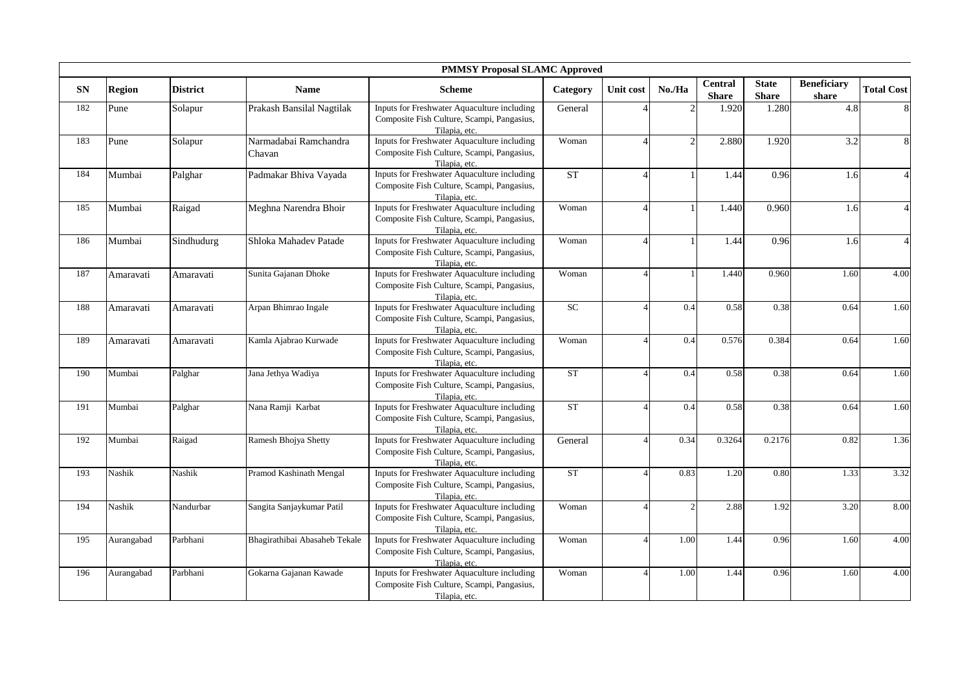|            |               |                 |                                 | <b>PMMSY Proposal SLAMC Approved</b>                                                                       |                    |                  |                |                                |                              |                             |                   |
|------------|---------------|-----------------|---------------------------------|------------------------------------------------------------------------------------------------------------|--------------------|------------------|----------------|--------------------------------|------------------------------|-----------------------------|-------------------|
| ${\bf SN}$ | <b>Region</b> | <b>District</b> | <b>Name</b>                     | <b>Scheme</b>                                                                                              | Category           | <b>Unit cost</b> | No./Ha         | <b>Central</b><br><b>Share</b> | <b>State</b><br><b>Share</b> | <b>Beneficiary</b><br>share | <b>Total Cost</b> |
| 182        | Pune          | Solapur         | Prakash Bansilal Nagtilak       | Inputs for Freshwater Aquaculture including<br>Composite Fish Culture, Scampi, Pangasius,<br>Tilapia, etc. | General            |                  | C              | 1.920                          | 1.280                        | 4.8                         | $8\phantom{.}$    |
| 183        | Pune          | Solapur         | Narmadabai Ramchandra<br>Chavan | Inputs for Freshwater Aquaculture including<br>Composite Fish Culture, Scampi, Pangasius,<br>Tilapia, etc. | Woman              |                  | 2              | 2.880                          | 1.920                        | 3.2                         | 8                 |
| 184        | Mumbai        | Palghar         | Padmakar Bhiva Vayada           | Inputs for Freshwater Aquaculture including<br>Composite Fish Culture, Scampi, Pangasius,<br>Tilapia, etc. | ST                 |                  |                | 1.44                           | 0.96                         | 1.6                         |                   |
| 185        | Mumbai        | Raigad          | Meghna Narendra Bhoir           | Inputs for Freshwater Aquaculture including<br>Composite Fish Culture, Scampi, Pangasius,<br>Tilapia, etc. | Woman              |                  |                | 1.440                          | 0.960                        | 1.6                         |                   |
| 186        | Mumbai        | Sindhudurg      | Shloka Mahadev Patade           | Inputs for Freshwater Aquaculture including<br>Composite Fish Culture, Scampi, Pangasius,<br>Tilapia, etc. | Woman              |                  |                | 1.44                           | 0.96                         | 1.6                         | $\Delta$          |
| 187        | Amaravati     | Amaravati       | Sunita Gajanan Dhoke            | Inputs for Freshwater Aquaculture including<br>Composite Fish Culture, Scampi, Pangasius,<br>Tilapia, etc. | Woman              |                  |                | 1.440                          | 0.960                        | 1.60                        | 4.00              |
| 188        | Amaravati     | Amaravati       | Arpan Bhimrao Ingale            | Inputs for Freshwater Aquaculture including<br>Composite Fish Culture, Scampi, Pangasius,<br>Tilapia, etc. | SC                 |                  | 0.4            | 0.58                           | 0.38                         | 0.64                        | 1.60              |
| 189        | Amaravati     | Amaravati       | Kamla Ajabrao Kurwade           | Inputs for Freshwater Aquaculture including<br>Composite Fish Culture, Scampi, Pangasius,<br>Tilapia, etc. | Woman              |                  | 0.4            | 0.576                          | 0.384                        | 0.64                        | 1.60              |
| 190        | Mumbai        | Palghar         | Jana Jethya Wadiya              | Inputs for Freshwater Aquaculture including<br>Composite Fish Culture, Scampi, Pangasius,<br>Tilapia, etc. | ST                 |                  | 0.4            | 0.58                           | 0.38                         | 0.64                        | 1.60              |
| 191        | Mumbai        | Palghar         | Nana Ramji Karbat               | Inputs for Freshwater Aquaculture including<br>Composite Fish Culture, Scampi, Pangasius,<br>Tilapia, etc. | ST                 |                  | 0.4            | 0.58                           | 0.38                         | 0.64                        | 1.60              |
| 192        | Mumbai        | Raigad          | <b>Ramesh Bhojya Shetty</b>     | Inputs for Freshwater Aquaculture including<br>Composite Fish Culture, Scampi, Pangasius,<br>Tilapia, etc. | General            |                  | 0.34           | 0.3264                         | 0.2176                       | 0.82                        | 1.36              |
| 193        | Nashik        | Nashik          | Pramod Kashinath Mengal         | Inputs for Freshwater Aquaculture including<br>Composite Fish Culture, Scampi, Pangasius,<br>Tilapia, etc. | ${\cal S}{\cal T}$ |                  | 0.83           | 1.20                           | 0.80                         | 1.33                        | 3.32              |
| 194        | <b>Nashik</b> | Nandurbar       | Sangita Sanjaykumar Patil       | Inputs for Freshwater Aquaculture including<br>Composite Fish Culture, Scampi, Pangasius,<br>Tilapia, etc. | Woman              |                  | $\overline{c}$ | 2.88                           | 1.92                         | 3.20                        | 8.00              |
| 195        | Aurangabad    | Parbhani        | Bhagirathibai Abasaheb Tekale   | Inputs for Freshwater Aquaculture including<br>Composite Fish Culture, Scampi, Pangasius,<br>Tilapia, etc. | Woman              |                  | 1.00           | 1.44                           | 0.96                         | 1.60                        | 4.00              |
| 196        | Aurangabad    | Parbhani        | Gokarna Gajanan Kawade          | Inputs for Freshwater Aquaculture including<br>Composite Fish Culture, Scampi, Pangasius,<br>Tilapia, etc. | Woman              |                  | 1.00           | 1.44                           | 0.96                         | 1.60                        | 4.00              |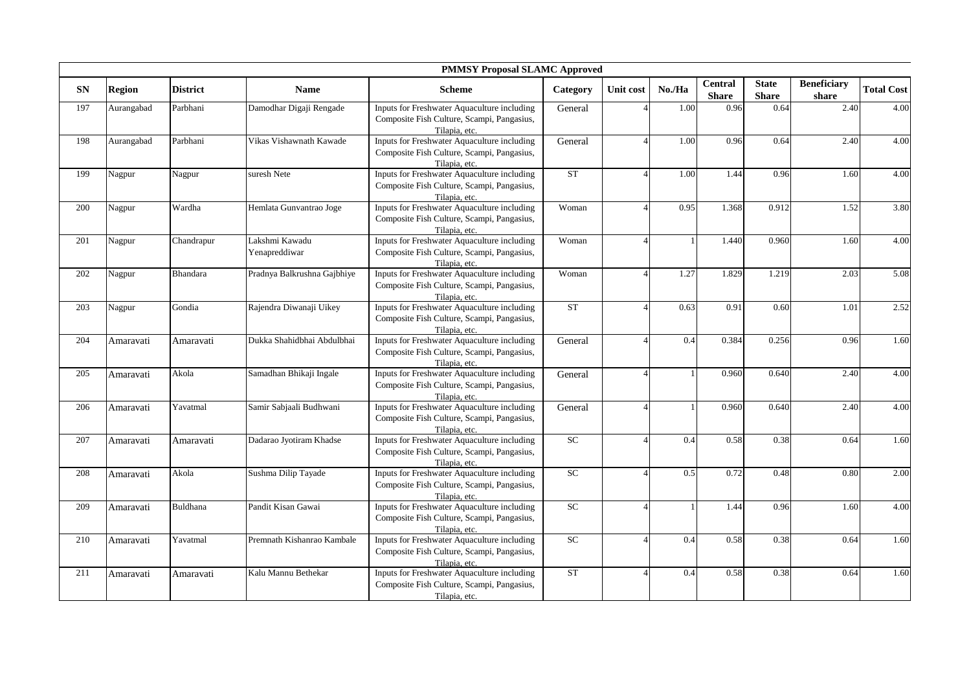|            |               |                 |                                 | <b>PMMSY Proposal SLAMC Approved</b>                                                                       |            |           |        |                                |                              |                             |                   |
|------------|---------------|-----------------|---------------------------------|------------------------------------------------------------------------------------------------------------|------------|-----------|--------|--------------------------------|------------------------------|-----------------------------|-------------------|
| ${\bf SN}$ | <b>Region</b> | <b>District</b> | <b>Name</b>                     | <b>Scheme</b>                                                                                              | Category   | Unit cost | No./Ha | <b>Central</b><br><b>Share</b> | <b>State</b><br><b>Share</b> | <b>Beneficiary</b><br>share | <b>Total Cost</b> |
| 197        | Aurangabad    | Parbhani        | Damodhar Digaji Rengade         | Inputs for Freshwater Aquaculture including<br>Composite Fish Culture, Scampi, Pangasius,<br>Tilapia, etc. | General    |           | 1.00   | 0.96                           | 0.64                         | 2.40                        | 4.00              |
| 198        | Aurangabad    | Parbhani        | Vikas Vishawnath Kawade         | Inputs for Freshwater Aquaculture including<br>Composite Fish Culture, Scampi, Pangasius,<br>Tilapia, etc. | General    |           | 1.00   | 0.96                           | 0.64                         | 2.40                        | 4.00              |
| 199        | Nagpur        | Nagpur          | suresh Nete                     | Inputs for Freshwater Aquaculture including<br>Composite Fish Culture, Scampi, Pangasius,<br>Tilapia, etc. | <b>ST</b>  |           | 1.00   | 1.44                           | 0.96                         | 1.60                        | 4.00              |
| 200        | Nagpur        | Wardha          | Hemlata Gunvantrao Joge         | Inputs for Freshwater Aquaculture including<br>Composite Fish Culture, Scampi, Pangasius,<br>Tilapia, etc. | Woman      |           | 0.95   | 1.368                          | 0.912                        | 1.52                        | 3.80              |
| 201        | Nagpur        | Chandrapur      | Lakshmi Kawadu<br>Yenapreddiwar | Inputs for Freshwater Aquaculture including<br>Composite Fish Culture, Scampi, Pangasius,<br>Tilapia, etc. | Woman      |           |        | 1.440                          | 0.960                        | 1.60                        | 4.00              |
| 202        | Nagpur        | <b>Bhandara</b> | Pradnya Balkrushna Gajbhiye     | Inputs for Freshwater Aquaculture including<br>Composite Fish Culture, Scampi, Pangasius,<br>Tilapia, etc. | Woman      |           | 1.27   | 1.829                          | 1.219                        | 2.03                        | 5.08              |
| 203        | Nagpur        | Gondia          | Rajendra Diwanaji Uikey         | Inputs for Freshwater Aquaculture including<br>Composite Fish Culture, Scampi, Pangasius,<br>Tilapia, etc. | ST         |           | 0.63   | 0.91                           | 0.60                         | 1.01                        | 2.52              |
| 204        | Amaravati     | Amaravati       | Dukka Shahidbhai Abdulbhai      | Inputs for Freshwater Aquaculture including<br>Composite Fish Culture, Scampi, Pangasius,<br>Tilapia, etc. | General    |           | 0.4    | 0.384                          | 0.256                        | 0.96                        | 1.60              |
| 205        | Amaravati     | Akola           | Samadhan Bhikaji Ingale         | Inputs for Freshwater Aquaculture including<br>Composite Fish Culture, Scampi, Pangasius,<br>Tilapia, etc. | General    |           |        | 0.960                          | 0.640                        | 2.40                        | 4.00              |
| 206        | Amaravati     | Yavatmal        | Samir Sabjaali Budhwani         | Inputs for Freshwater Aquaculture including<br>Composite Fish Culture, Scampi, Pangasius,<br>Tilapia, etc. | General    |           |        | 0.960                          | 0.640                        | 2.40                        | 4.00              |
| 207        | Amaravati     | Amaravati       | Dadarao Jyotiram Khadse         | Inputs for Freshwater Aquaculture including<br>Composite Fish Culture, Scampi, Pangasius,<br>Tilapia, etc. | SC         | Δ         | 0.4    | 0.58                           | 0.38                         | 0.64                        | 1.60              |
| 208        | Amaravati     | Akola           | Sushma Dilip Tayade             | Inputs for Freshwater Aquaculture including<br>Composite Fish Culture, Scampi, Pangasius,<br>Tilapia, etc. | ${\rm SC}$ |           | 0.5    | 0.72                           | 0.48                         | 0.80                        | 2.00              |
| 209        | Amaravati     | Buldhana        | Pandit Kisan Gawai              | Inputs for Freshwater Aquaculture including<br>Composite Fish Culture, Scampi, Pangasius,<br>Tilapia, etc. | SC         |           |        | 1.44                           | 0.96                         | 1.60                        | 4.00              |
| 210        | Amaravati     | Yavatmal        | Premnath Kishanrao Kambale      | Inputs for Freshwater Aquaculture including<br>Composite Fish Culture, Scampi, Pangasius,<br>Tilapia, etc. | <b>SC</b>  | 4         | 0.4    | 0.58                           | 0.38                         | 0.64                        | 1.60              |
| 211        | Amaravati     | Amaravati       | Kalu Mannu Bethekar             | Inputs for Freshwater Aquaculture including<br>Composite Fish Culture, Scampi, Pangasius,<br>Tilapia, etc. | ST         |           | 0.4    | 0.58                           | 0.38                         | 0.64                        | 1.60              |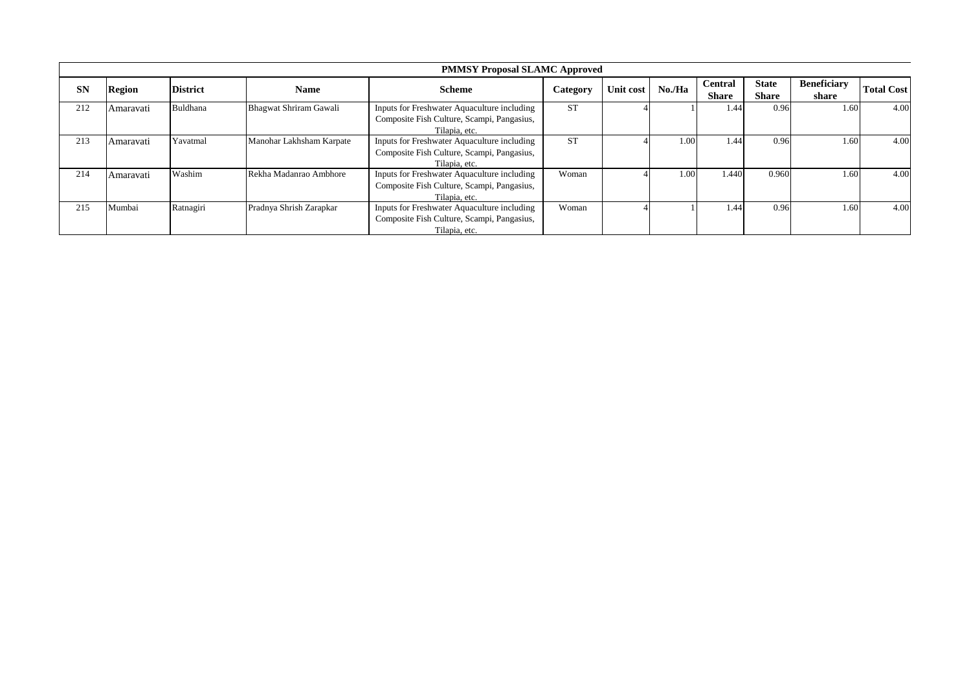|     |               |                 |                          | <b>PMMSY Proposal SLAMC Approved</b>        |           |           |                   |                |              |                    |                   |
|-----|---------------|-----------------|--------------------------|---------------------------------------------|-----------|-----------|-------------------|----------------|--------------|--------------------|-------------------|
| SN  | <b>Region</b> | <b>District</b> | <b>Name</b>              | <b>Scheme</b>                               | Category  | Unit cost | No./Ha            | <b>Central</b> | <b>State</b> | <b>Beneficiary</b> | <b>Total Cost</b> |
|     |               |                 |                          |                                             |           |           |                   | <b>Share</b>   | <b>Share</b> | share              |                   |
| 212 | Amaravati     | Buldhana        | Bhagwat Shriram Gawali   | Inputs for Freshwater Aquaculture including | <b>ST</b> |           |                   | 1.44           | 0.96         | 1.60               | 4.00              |
|     |               |                 |                          | Composite Fish Culture, Scampi, Pangasius,  |           |           |                   |                |              |                    |                   |
|     |               |                 |                          | Tilapia, etc.                               |           |           |                   |                |              |                    |                   |
| 213 | Amaravati     | Yavatmal        | Manohar Lakhsham Karpate | Inputs for Freshwater Aquaculture including | <b>ST</b> |           | 1.00              | 1.44           | 0.96         | 1.60               | 4.00              |
|     |               |                 |                          | Composite Fish Culture, Scampi, Pangasius,  |           |           |                   |                |              |                    |                   |
|     |               |                 |                          | Tilapia, etc.                               |           |           |                   |                |              |                    |                   |
| 214 | Amaravati     | Washim          | Rekha Madanrao Ambhore   | Inputs for Freshwater Aquaculture including | Woman     |           | 1.00 <sup>1</sup> | .440           | 0.960        | 1.60               | 4.00              |
|     |               |                 |                          | Composite Fish Culture, Scampi, Pangasius,  |           |           |                   |                |              |                    |                   |
|     |               |                 |                          | Tilapia, etc.                               |           |           |                   |                |              |                    |                   |
| 215 | Mumbai        | Ratnagiri       | Pradnya Shrish Zarapkar  | Inputs for Freshwater Aquaculture including | Woman     |           |                   | 1.44           | 0.96         | 1.60               | 4.00              |
|     |               |                 |                          | Composite Fish Culture, Scampi, Pangasius,  |           |           |                   |                |              |                    |                   |
|     |               |                 |                          | Tilapia, etc.                               |           |           |                   |                |              |                    |                   |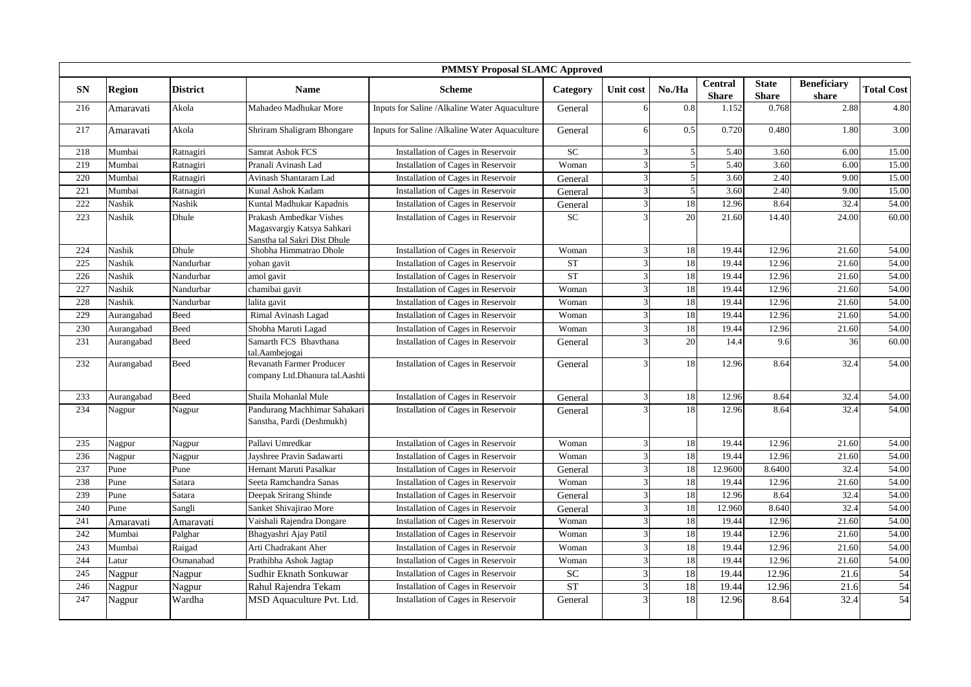|            | <b>PMMSY Proposal SLAMC Approved</b> |                 |                                                                                       |                                               |           |               |                |                                |                              |                             |                   |
|------------|--------------------------------------|-----------------|---------------------------------------------------------------------------------------|-----------------------------------------------|-----------|---------------|----------------|--------------------------------|------------------------------|-----------------------------|-------------------|
| ${\bf SN}$ | <b>Region</b>                        | <b>District</b> | <b>Name</b>                                                                           | <b>Scheme</b>                                 | Category  | Unit cost     | No./Ha         | <b>Central</b><br><b>Share</b> | <b>State</b><br><b>Share</b> | <b>Beneficiary</b><br>share | <b>Total Cost</b> |
| 216        | Amaravati                            | Akola           | Mahadeo Madhukar More                                                                 | Inputs for Saline /Alkaline Water Aquaculture | General   |               | 0.8            | 1.152                          | 0.768                        | 2.88                        | 4.80              |
| 217        | Amaravati                            | Akola           | Shriram Shaligram Bhongare                                                            | Inputs for Saline /Alkaline Water Aquaculture | General   |               | 0.5            | 0.720                          | 0.480                        | 1.80                        | 3.00              |
| 218        | Mumbai                               | Ratnagiri       | <b>Samrat Ashok FCS</b>                                                               | Installation of Cages in Reservoir            | SC        |               | 5 <sup>1</sup> | 5.40                           | 3.60                         | 6.00                        | 15.00             |
| 219        | Mumbai                               | Ratnagiri       | Pranali Avinash Lad                                                                   | Installation of Cages in Reservoir            | Woman     |               | 5 <sup>1</sup> | 5.40                           | 3.60                         | 6.00                        | 15.00             |
| 220        | Mumbai                               | Ratnagiri       | Avinash Shantaram Lad                                                                 | Installation of Cages in Reservoir            | General   |               | $\overline{5}$ | 3.60                           | 2.40                         | 9.00                        | 15.00             |
| 221        | Mumbai                               | Ratnagiri       | Kunal Ashok Kadam                                                                     | Installation of Cages in Reservoir            | General   |               | 5 <sub>l</sub> | 3.60                           | 2.40                         | 9.00                        | 15.00             |
| 222        | Nashik                               | Nashik          | Kuntal Madhukar Kapadnis                                                              | Installation of Cages in Reservoir            | General   |               | 18             | 12.96                          | 8.64                         | 32.4                        | 54.00             |
| 223        | Nashik                               | Dhule           | Prakash Ambedkar Vishes<br>Magasvargiy Katsya Sahkari<br>Sanstha tal Sakri Dist Dhule | Installation of Cages in Reservoir            | <b>SC</b> |               | 20             | 21.60                          | 14.40                        | 24.00                       | 60.00             |
| 224        | Nashik                               | Dhule           | Shobha Himmatrao Dhole                                                                | Installation of Cages in Reservoir            | Woman     |               | 18             | 19.44                          | 12.96                        | 21.60                       | 54.00             |
| 225        | Nashik                               | Nandurbar       | yohan gavit                                                                           | Installation of Cages in Reservoir            | <b>ST</b> |               | 18             | 19.44                          | 12.96                        | 21.60                       | 54.00             |
| 226        | Nashik                               | Nandurbar       | amol gavit                                                                            | Installation of Cages in Reservoir            | <b>ST</b> |               | 18             | 19.44                          | 12.96                        | 21.60                       | 54.00             |
| 227        | Nashik                               | Nandurbar       | chamibai gavit                                                                        | Installation of Cages in Reservoir            | Woman     |               | 18             | 19.44                          | 12.96                        | 21.60                       | 54.00             |
| 228        | Nashik                               | Nandurbar       | lalita gavit                                                                          | Installation of Cages in Reservoir            | Woman     |               | 18             | 19.44                          | 12.96                        | 21.60                       | 54.00             |
| 229        | Aurangabad                           | Beed            | Rimal Avinash Lagad                                                                   | Installation of Cages in Reservoir            | Woman     |               | 18             | 19.44                          | 12.96                        | 21.60                       | 54.00             |
| 230        | Aurangabad                           | Beed            | Shobha Maruti Lagad                                                                   | Installation of Cages in Reservoir            | Woman     |               | 18             | 19.44                          | 12.96                        | 21.60                       | 54.00             |
| 231        | Aurangabad                           | Beed            | Samarth FCS Bhavthana<br>tal.Aambejogai                                               | Installation of Cages in Reservoir            | General   |               | 20             | 14.4                           | 9.6                          | 36                          | 60.00             |
| 232        | Aurangabad                           | Beed            | <b>Revanath Farmer Producer</b><br>company Ltd.Dhanura tal.Aashti                     | Installation of Cages in Reservoir            | General   |               | 18             | 12.96                          | 8.64                         | 32.4                        | 54.00             |
| 233        | Aurangabad                           | Beed            | Shaila Mohanlal Mule                                                                  | Installation of Cages in Reservoir            | General   | $\mathcal{R}$ | 18             | 12.96                          | 8.64                         | 32.4                        | 54.00             |
| 234        | Nagpur                               | Nagpur          | Pandurang Machhimar Sahakari<br>Sanstha, Pardi (Deshmukh)                             | Installation of Cages in Reservoir            | General   |               | 18             | 12.96                          | 8.64                         | 32.4                        | 54.00             |
| 235        | Nagpur                               | Nagpur          | Pallavi Umredkar                                                                      | Installation of Cages in Reservoir            | Woman     |               | 18             | 19.44                          | 12.96                        | 21.60                       | 54.00             |
| 236        | Nagpur                               | Nagpur          | Jayshree Pravin Sadawarti                                                             | Installation of Cages in Reservoir            | Woman     |               | 18             | 19.44                          | 12.96                        | 21.60                       | 54.00             |
| 237        | Pune                                 | Pune            | Hemant Maruti Pasalkar                                                                | Installation of Cages in Reservoir            | General   |               | 18             | 12.9600                        | 8.6400                       | 32.4                        | 54.00             |
| 238        | Pune                                 | Satara          | Seeta Ramchandra Sanas                                                                | Installation of Cages in Reservoir            | Woman     |               | 18             | 19.44                          | 12.96                        | 21.60                       | 54.00             |
| 239        | Pune                                 | Satara          | Deepak Srirang Shinde                                                                 | Installation of Cages in Reservoir            | General   | $\mathcal{R}$ | 18             | 12.96                          | 8.64                         | 32.4                        | 54.00             |
| 240        | Pune                                 | Sangli          | Sanket Shivajirao More                                                                | Installation of Cages in Reservoir            | General   |               | 18             | 12.960                         | 8.640                        | 32.4                        | 54.00             |
| 241        | Amaravati                            | Amaravati       | Vaishali Rajendra Dongare                                                             | Installation of Cages in Reservoir            | Woman     |               | 18             | 19.44                          | 12.96                        | 21.60                       | 54.00             |
| 242        | Mumbai                               | Palghar         | Bhagyashri Ajay Patil                                                                 | Installation of Cages in Reservoir            | Woman     |               | 18             | 19.44                          | 12.96                        | 21.60                       | 54.00             |
| 243        | Mumbai                               | Raigad          | Arti Chadrakant Aher                                                                  | Installation of Cages in Reservoir            | Woman     |               | 18             | 19.44                          | 12.96                        | 21.60                       | 54.00             |
| 244        | Latur                                | Osmanabad       | Prathibha Ashok Jagtap                                                                | Installation of Cages in Reservoir            | Woman     |               | 18             | 19.44                          | 12.96                        | 21.60                       | 54.00             |
| 245        | Nagpur                               | Nagpur          | Sudhir Eknath Sonkuwar                                                                | Installation of Cages in Reservoir            | <b>SC</b> |               | 18             | 19.44                          | 12.96                        | 21.6                        | 54                |
| 246        | Nagpur                               | Nagpur          | Rahul Rajendra Tekam                                                                  | Installation of Cages in Reservoir            | <b>ST</b> | $\mathcal{R}$ | 18             | 19.44                          | 12.96                        | 21.6                        | 54                |
| 247        | Nagpur                               | Wardha          | MSD Aquaculture Pvt. Ltd.                                                             | Installation of Cages in Reservoir            | General   |               | 18             | 12.96                          | 8.64                         | 32.4                        | 54                |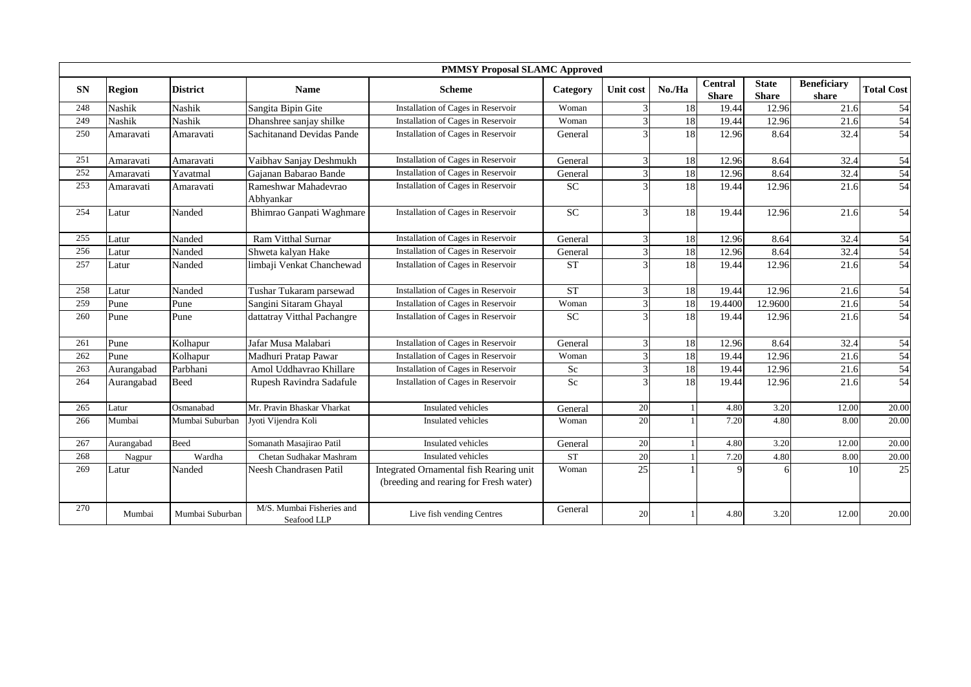|           |               |                 |                                          | <b>PMMSY Proposal SLAMC Approved</b>                                              |                    |                  |        |                                |                              |                             |                   |
|-----------|---------------|-----------------|------------------------------------------|-----------------------------------------------------------------------------------|--------------------|------------------|--------|--------------------------------|------------------------------|-----------------------------|-------------------|
| <b>SN</b> | <b>Region</b> | <b>District</b> | <b>Name</b>                              | <b>Scheme</b>                                                                     | Category           | <b>Unit cost</b> | No./Ha | <b>Central</b><br><b>Share</b> | <b>State</b><br><b>Share</b> | <b>Beneficiary</b><br>share | <b>Total Cost</b> |
| 248       | <b>Nashik</b> | <b>Nashik</b>   | Sangita Bipin Gite                       | Installation of Cages in Reservoir                                                | Woman              |                  | 18     | 19.44                          | 12.96                        | 21.6                        | 54                |
| 249       | <b>Nashik</b> | Nashik          | Dhanshree sanjay shilke                  | Installation of Cages in Reservoir                                                | Woman              | $\mathcal{E}$    | 18     | 19.44                          | 12.96                        | 21.6                        | 54                |
| 250       | Amaravati     | Amaravati       | <b>Sachitanand Devidas Pande</b>         | Installation of Cages in Reservoir                                                | General            |                  | 18     | 12.96                          | 8.64                         | 32.4                        | 54                |
| 251       | Amaravati     | Amaravati       | Vaibhav Sanjay Deshmukh                  | Installation of Cages in Reservoir                                                | General            | 3                | 18     | 12.96                          | 8.64                         | 32.4                        | 54                |
| 252       | Amaravati     | Yavatmal        | Gaianan Babarao Bande                    | Installation of Cages in Reservoir                                                | General            |                  | 18     | 12.96                          | 8.64                         | 32.4                        | 54                |
| 253       | Amaravati     | Amaravati       | Rameshwar Mahadevrao<br>Abhyankar        | Installation of Cages in Reservoir                                                | <b>SC</b>          | 3                | 18     | 19.44                          | 12.96                        | 21.6                        | 54                |
| 254       | Latur         | Nanded          | Bhimrao Ganpati Waghmare                 | Installation of Cages in Reservoir                                                | <b>SC</b>          | $\mathcal{E}$    | 18     | 19.44                          | 12.96                        | 21.6                        | 54                |
| 255       | Latur         | Nanded          | <b>Ram Vitthal Surnar</b>                | Installation of Cages in Reservoir                                                | General            | $\overline{3}$   | 18     | 12.96                          | 8.64                         | 32.4                        | 54                |
| 256       | Latur         | Nanded          | Shweta kalyan Hake                       | Installation of Cages in Reservoir                                                | General            | $\overline{3}$   | 18     | 12.96                          | 8.64                         | 32.4                        | 54                |
| 257       | Latur         | Nanded          | limbaji Venkat Chanchewad                | Installation of Cages in Reservoir                                                | <b>ST</b>          |                  | 18     | 19.44                          | 12.96                        | 21.6                        | 54                |
| 258       | Latur         | Nanded          | Tushar Tukaram parsewad                  | Installation of Cages in Reservoir                                                | <b>ST</b>          | 3                | 18     | 19.44                          | 12.96                        | 21.6                        | 54                |
| 259       | Pune          | Pune            | Sangini Sitaram Ghayal                   | Installation of Cages in Reservoir                                                | Woman              | $\overline{3}$   | 18     | 19.4400                        | 12.9600                      | 21.6                        | 54                |
| 260       | Pune          | Pune            | dattatray Vitthal Pachangre              | Installation of Cages in Reservoir                                                | <b>SC</b>          |                  | 18     | 19.44                          | 12.96                        | 21.6                        | 54                |
| 261       | Pune          | Kolhapur        | Jafar Musa Malabari                      | Installation of Cages in Reservoir                                                | General            | 3                | 18     | 12.96                          | 8.64                         | 32.4                        | 54                |
| 262       | Pune          | Kolhapur        | Madhuri Pratap Pawar                     | Installation of Cages in Reservoir                                                | Woman              | $\mathcal{L}$    | 18     | 19.44                          | 12.96                        | 21.6                        | 54                |
| 263       | Aurangabad    | Parbhani        | Amol Uddhavrao Khillare                  | Installation of Cages in Reservoir                                                | Sc                 | $\overline{3}$   | 18     | 19.44                          | 12.96                        | 21.6                        | 54                |
| 264       | Aurangabad    | Beed            | Rupesh Ravindra Sadafule                 | Installation of Cages in Reservoir                                                | Sc                 |                  | 18     | 19.44                          | 12.96                        | 21.6                        | 54                |
| 265       | Latur         | Osmanabad       | Mr. Pravin Bhaskar Vharkat               | Insulated vehicles                                                                | General            | 20               |        | 4.80                           | 3.20                         | 12.00                       | 20.00             |
| 266       | Mumbai        | Mumbai Suburban | Jyoti Vijendra Koli                      | <b>Insulated</b> vehicles                                                         | Woman              | 20               |        | 7.20                           | 4.80                         | 8.00                        | 20.00             |
| 267       | Aurangabad    | Beed            | Somanath Masajirao Patil                 | Insulated vehicles                                                                | General            | 20               |        | 4.80                           | 3.20                         | 12.00                       | 20.00             |
| 268       | Nagpur        | Wardha          | Chetan Sudhakar Mashram                  | Insulated vehicles                                                                | ${\cal S}{\cal T}$ | 20               |        | 7.20                           | 4.80                         | 8.00                        | 20.00             |
| 269       | Latur         | Nanded          | Neesh Chandrasen Patil                   | Integrated Ornamental fish Rearing unit<br>(breeding and rearing for Fresh water) | Woman              | $\overline{25}$  |        | 9                              | 6                            | 10                          | 25                |
| 270       | Mumbai        | Mumbai Suburban | M/S. Mumbai Fisheries and<br>Seafood LLP | Live fish vending Centres                                                         | General            | 20               |        | 4.80                           | 3.20                         | 12.00                       | 20.00             |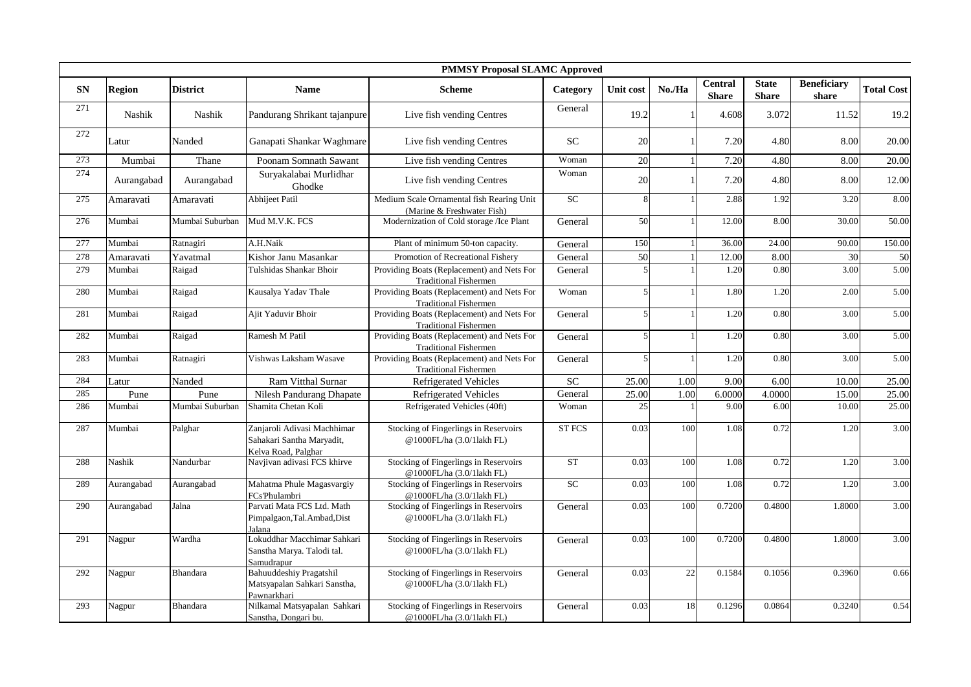|            |               | <b>PMMSY Proposal SLAMC Approved</b> |                                                                                 |                                                                            |               |                |              |                                |                              |                             |                   |  |  |
|------------|---------------|--------------------------------------|---------------------------------------------------------------------------------|----------------------------------------------------------------------------|---------------|----------------|--------------|--------------------------------|------------------------------|-----------------------------|-------------------|--|--|
| ${\bf SN}$ | <b>Region</b> | <b>District</b>                      | <b>Name</b>                                                                     | <b>Scheme</b>                                                              | Category      | Unit cost      | No./Ha       | <b>Central</b><br><b>Share</b> | <b>State</b><br><b>Share</b> | <b>Beneficiary</b><br>share | <b>Total Cost</b> |  |  |
| 271        | Nashik        | Nashik                               | Pandurang Shrikant tajanpure                                                    | Live fish vending Centres                                                  | General       | 19.2           |              | 4.608                          | 3.072                        | 11.52                       | 19.2              |  |  |
| 272        | Latur         | Nanded                               | Ganapati Shankar Waghmare                                                       | Live fish vending Centres                                                  | <b>SC</b>     | 20             |              | 7.20                           | 4.80                         | 8.00                        | 20.00             |  |  |
| 273        | Mumbai        | Thane                                | Poonam Somnath Sawant                                                           | Live fish vending Centres                                                  | Woman         | 20             |              | 7.20                           | 4.80                         | 8.00                        | 20.00             |  |  |
| 274        | Aurangabad    | Aurangabad                           | Suryakalabai Murlidhar<br>Ghodke                                                | Live fish vending Centres                                                  | Woman         | 20             |              | 7.20                           | 4.80                         | 8.00                        | 12.00             |  |  |
| 275        | Amaravati     | Amaravati                            | Abhijeet Patil                                                                  | Medium Scale Ornamental fish Rearing Unit<br>(Marine & Freshwater Fish)    | ${\rm SC}$    | 8              |              | 2.88                           | 1.92                         | 3.20                        | 8.00              |  |  |
| 276        | Mumbai        | Mumbai Suburban                      | Mud M.V.K. FCS                                                                  | Modernization of Cold storage /Ice Plant                                   | General       | 50             |              | 12.00                          | 8.00                         | 30.00                       | 50.00             |  |  |
| 277        | Mumbai        | Ratnagiri                            | A.H.Naik                                                                        | Plant of minimum 50-ton capacity.                                          | General       | 150            |              | 36.00                          | 24.00                        | 90.00                       | 150.00            |  |  |
| 278        | Amaravati     | Yavatmal                             | Kishor Janu Masankar                                                            | Promotion of Recreational Fishery                                          | General       | 50             | $\mathbf{1}$ | 12.00                          | 8.00                         | 30                          | 50                |  |  |
| 279        | Mumbai        | Raigad                               | Tulshidas Shankar Bhoir                                                         | Providing Boats (Replacement) and Nets For<br><b>Traditional Fishermen</b> | General       | $\overline{5}$ |              | 1.20                           | 0.80                         | 3.00                        | 5.00              |  |  |
| 280        | Mumbai        | Raigad                               | Kausalya Yadav Thale                                                            | Providing Boats (Replacement) and Nets For<br><b>Traditional Fishermen</b> | Woman         | $\overline{5}$ |              | 1.80                           | 1.20                         | 2.00                        | 5.00              |  |  |
| 281        | Mumbai        | Raigad                               | Ajit Yaduvir Bhoir                                                              | Providing Boats (Replacement) and Nets For<br><b>Traditional Fishermen</b> | General       | $\overline{5}$ |              | 1.20                           | 0.80                         | 3.00                        | 5.00              |  |  |
| 282        | Mumbai        | Raigad                               | Ramesh M Patil                                                                  | Providing Boats (Replacement) and Nets For<br><b>Traditional Fishermen</b> | General       |                |              | 1.20                           | 0.80                         | 3.00                        | 5.00              |  |  |
| 283        | Mumbai        | Ratnagiri                            | Vishwas Laksham Wasave                                                          | Providing Boats (Replacement) and Nets For<br><b>Traditional Fishermen</b> | General       |                |              | 1.20                           | 0.80                         | 3.00                        | 5.00              |  |  |
| 284        | Latur         | Nanded                               | Ram Vitthal Surnar                                                              | <b>Refrigerated Vehicles</b>                                               | <b>SC</b>     | 25.00          | 1.00         | 9.00                           | 6.00                         | 10.00                       | 25.00             |  |  |
| 285        | Pune          | Pune                                 | Nilesh Pandurang Dhapate                                                        | Refrigerated Vehicles                                                      | General       | 25.00          | 1.00         | 6.0000                         | 4.0000                       | 15.00                       | 25.00             |  |  |
| 286        | Mumbai        | Mumbai Suburban                      | Shamita Chetan Koli                                                             | Refrigerated Vehicles (40ft)                                               | Woman         | 25             |              | 9.00                           | 6.00                         | 10.00                       | 25.00             |  |  |
| 287        | Mumbai        | Palghar                              | Zanjaroli Adivasi Machhimar<br>Sahakari Santha Maryadit,<br>Kelva Road, Palghar | Stocking of Fingerlings in Reservoirs<br>@1000FL/ha (3.0/1lakh FL)         | <b>ST FCS</b> | 0.03           | 100          | 1.08                           | 0.72                         | 1.20                        | 3.00              |  |  |
| 288        | Nashik        | Nandurbar                            | Navjivan adivasi FCS khirve                                                     | Stocking of Fingerlings in Reservoirs<br>@1000FL/ha (3.0/1lakh FL)         | <b>ST</b>     | 0.03           | 100          | 1.08                           | 0.72                         | 1.20                        | 3.00              |  |  |
| 289        | Aurangabad    | Aurangabad                           | Mahatma Phule Magasvargiy<br>FCs'Phulambri                                      | Stocking of Fingerlings in Reservoirs<br>@1000FL/ha (3.0/1lakh FL)         | ${\rm SC}$    | 0.03           | 100          | 1.08                           | 0.72                         | 1.20                        | 3.00              |  |  |
| 290        | Aurangabad    | Jalna                                | Parvati Mata FCS Ltd. Math<br>Pimpalgaon, Tal. Ambad, Dist<br>Jalana            | Stocking of Fingerlings in Reservoirs<br>@1000FL/ha (3.0/1lakh FL)         | General       | 0.03           | 100          | 0.7200                         | 0.4800                       | 1.8000                      | 3.00              |  |  |
| 291        | Nagpur        | Wardha                               | Lokuddhar Macchimar Sahkari<br>Sanstha Marya. Talodi tal.<br>Samudrapur         | Stocking of Fingerlings in Reservoirs<br>@1000FL/ha (3.0/1lakh FL)         | General       | 0.03           | 100          | 0.7200                         | 0.4800                       | 1.8000                      | 3.00              |  |  |
| 292        | Nagpur        | <b>Bhandara</b>                      | <b>Bahuuddeshiy Pragatshil</b><br>Matsyapalan Sahkari Sanstha,<br>Pawnarkhari   | Stocking of Fingerlings in Reservoirs<br>@1000FL/ha (3.0/1lakh FL)         | General       | 0.03           | 22           | 0.1584                         | 0.1056                       | 0.3960                      | 0.66              |  |  |
| 293        | Nagpur        | Bhandara                             | Nilkamal Matsyapalan Sahkari<br>Sanstha, Dongari bu.                            | Stocking of Fingerlings in Reservoirs<br>@1000FL/ha (3.0/1lakh FL)         | General       | 0.03           | 18           | 0.1296                         | 0.0864                       | 0.3240                      | 0.54              |  |  |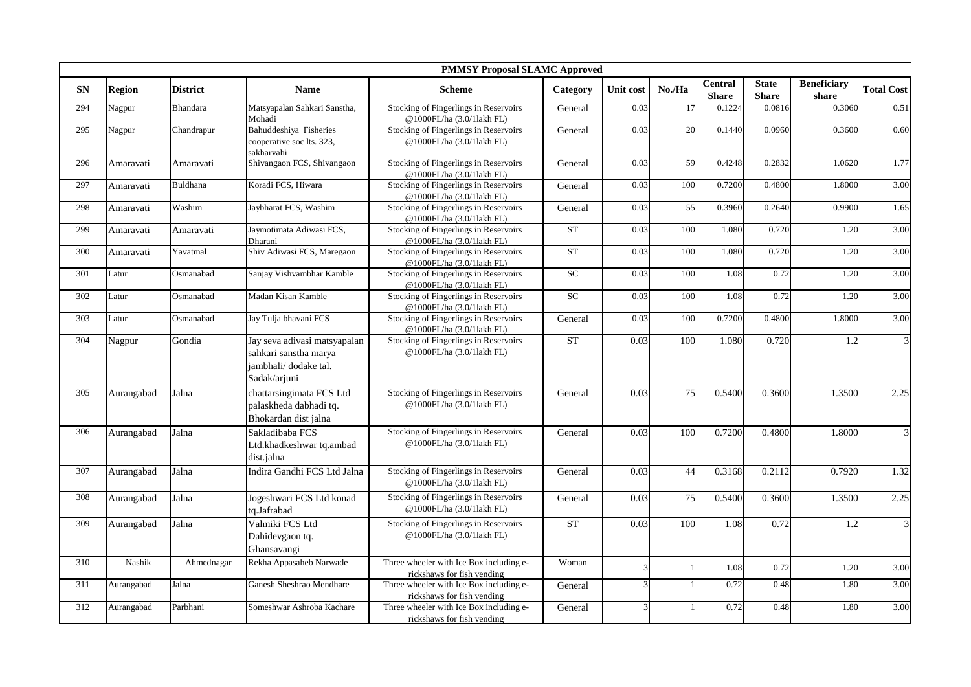|           | <b>PMMSY Proposal SLAMC Approved</b> |                 |                                                                                               |                                                                       |                    |                |              |                                |                              |                             |                   |  |  |
|-----------|--------------------------------------|-----------------|-----------------------------------------------------------------------------------------------|-----------------------------------------------------------------------|--------------------|----------------|--------------|--------------------------------|------------------------------|-----------------------------|-------------------|--|--|
| <b>SN</b> | <b>Region</b>                        | <b>District</b> | <b>Name</b>                                                                                   | <b>Scheme</b>                                                         | Category           | Unit cost      | No./Ha       | <b>Central</b><br><b>Share</b> | <b>State</b><br><b>Share</b> | <b>Beneficiary</b><br>share | <b>Total Cost</b> |  |  |
| 294       | Nagpur                               | <b>Bhandara</b> | Matsyapalan Sahkari Sanstha,<br>Mohadi                                                        | Stocking of Fingerlings in Reservoirs<br>@1000FL/ha (3.0/11akh FL)    | General            | 0.03           | 17           | 0.1224                         | 0.0816                       | 0.3060                      | 0.51              |  |  |
| 295       | Nagpur                               | Chandrapur      | Bahuddeshiya Fisheries<br>cooperative soc lts. 323,<br>sakharvahi                             | Stocking of Fingerlings in Reservoirs<br>@1000FL/ha (3.0/1lakh FL)    | General            | 0.03           | 20           | 0.1440                         | 0.0960                       | 0.3600                      | 0.60              |  |  |
| 296       | Amaravati                            | Amaravati       | Shivangaon FCS, Shivangaon                                                                    | Stocking of Fingerlings in Reservoirs<br>@1000FL/ha (3.0/1lakh FL)    | General            | 0.03           | 59           | 0.4248                         | 0.2832                       | 1.0620                      | 1.77              |  |  |
| 297       | Amaravati                            | <b>Buldhana</b> | Koradi FCS, Hiwara                                                                            | Stocking of Fingerlings in Reservoirs<br>@1000FL/ha (3.0/1lakh FL)    | General            | 0.03           | 100          | 0.7200                         | 0.4800                       | 1.8000                      | 3.00              |  |  |
| 298       | Amaravati                            | Washim          | Jaybharat FCS, Washim                                                                         | Stocking of Fingerlings in Reservoirs<br>@1000FL/ha (3.0/1lakh FL)    | General            | 0.03           | 55           | 0.3960                         | 0.2640                       | 0.9900                      | 1.65              |  |  |
| 299       | Amaravati                            | Amaravati       | Jaymotimata Adiwasi FCS,<br>Dharani                                                           | Stocking of Fingerlings in Reservoirs<br>@1000FL/ha (3.0/11akh FL)    | <b>ST</b>          | 0.03           | 100          | 1.080                          | 0.720                        | 1.20                        | 3.00              |  |  |
| 300       | Amaravati                            | Yavatmal        | Shiv Adiwasi FCS, Maregaon                                                                    | Stocking of Fingerlings in Reservoirs<br>@1000FL/ha (3.0/1lakh FL)    | <b>ST</b>          | 0.03           | 100          | 1.080                          | 0.720                        | 1.20                        | 3.00              |  |  |
| 301       | Latur                                | Osmanabad       | Sanjay Vishvambhar Kamble                                                                     | Stocking of Fingerlings in Reservoirs<br>@1000FL/ha (3.0/11akh FL)    | SC                 | 0.03           | 100          | 1.08                           | 0.72                         | 1.20                        | 3.00              |  |  |
| 302       | Latur                                | Osmanabad       | Madan Kisan Kamble                                                                            | Stocking of Fingerlings in Reservoirs<br>@1000FL/ha (3.0/11akh FL)    | <b>SC</b>          | 0.03           | 100          | 1.08                           | 0.72                         | 1.20                        | 3.00              |  |  |
| 303       | Latur                                | Osmanabad       | Jay Tulja bhavani FCS                                                                         | Stocking of Fingerlings in Reservoirs<br>@1000FL/ha (3.0/1lakh FL)    | General            | 0.03           | 100          | 0.7200                         | 0.4800                       | 1.8000                      | 3.00              |  |  |
| 304       | Nagpur                               | Gondia          | Jay seva adivasi matsyapalan<br>sahkari sanstha marya<br>jambhali/dodake tal.<br>Sadak/arjuni | Stocking of Fingerlings in Reservoirs<br>@1000FL/ha (3.0/1lakh FL)    | ${\cal S}{\cal T}$ | 0.03           | 100          | 1.080                          | 0.720                        | 1.2                         | 3                 |  |  |
| 305       | Aurangabad                           | Jalna           | chattarsingimata FCS Ltd<br>palaskheda dabhadi tq.<br>Bhokardan dist jalna                    | Stocking of Fingerlings in Reservoirs<br>@1000FL/ha (3.0/1lakh FL)    | General            | 0.03           | 75           | 0.5400                         | 0.3600                       | 1.3500                      | 2.25              |  |  |
| 306       | Aurangabad                           | Jalna           | Sakladibaba FCS<br>Ltd.khadkeshwar tq.ambad<br>dist.jalna                                     | Stocking of Fingerlings in Reservoirs<br>@1000FL/ha (3.0/1lakh FL)    | General            | 0.03           | 100          | 0.7200                         | 0.4800                       | 1.8000                      | $\mathfrak{Z}$    |  |  |
| 307       | Aurangabad                           | Jalna           | Indira Gandhi FCS Ltd Jalna                                                                   | Stocking of Fingerlings in Reservoirs<br>@1000FL/ha (3.0/1lakh FL)    | General            | 0.03           | 44           | 0.3168                         | 0.2112                       | 0.7920                      | 1.32              |  |  |
| 308       | Aurangabad                           | Jalna           | Jogeshwari FCS Ltd konad<br>tq.Jafrabad                                                       | Stocking of Fingerlings in Reservoirs<br>@1000FL/ha (3.0/1lakh FL)    | General            | 0.03           | 75           | 0.5400                         | 0.3600                       | 1.3500                      | 2.25              |  |  |
| 309       | Aurangabad                           | Jalna           | Valmiki FCS Ltd<br>Dahidevgaon tq.<br>Ghansavangi                                             | Stocking of Fingerlings in Reservoirs<br>@1000FL/ha (3.0/1lakh FL)    | ST                 | 0.03           | 100          | 1.08                           | 0.72                         | 1.2                         | $\mathfrak{Z}$    |  |  |
| 310       | Nashik                               | Ahmednagar      | Rekha Appasaheb Narwade                                                                       | Three wheeler with Ice Box including e-<br>rickshaws for fish vending | Woman              | 3              | $\mathbf{1}$ | 1.08                           | 0.72                         | 1.20                        | 3.00              |  |  |
| 311       | Aurangabad                           | Jalna           | Ganesh Sheshrao Mendhare                                                                      | Three wheeler with Ice Box including e-<br>rickshaws for fish vending | General            | $\overline{3}$ |              | 0.72                           | 0.48                         | 1.80                        | 3.00              |  |  |
| 312       | Aurangabad                           | Parbhani        | Someshwar Ashroba Kachare                                                                     | Three wheeler with Ice Box including e-<br>rickshaws for fish vending | General            | $\overline{3}$ |              | 0.72                           | 0.48                         | 1.80                        | 3.00              |  |  |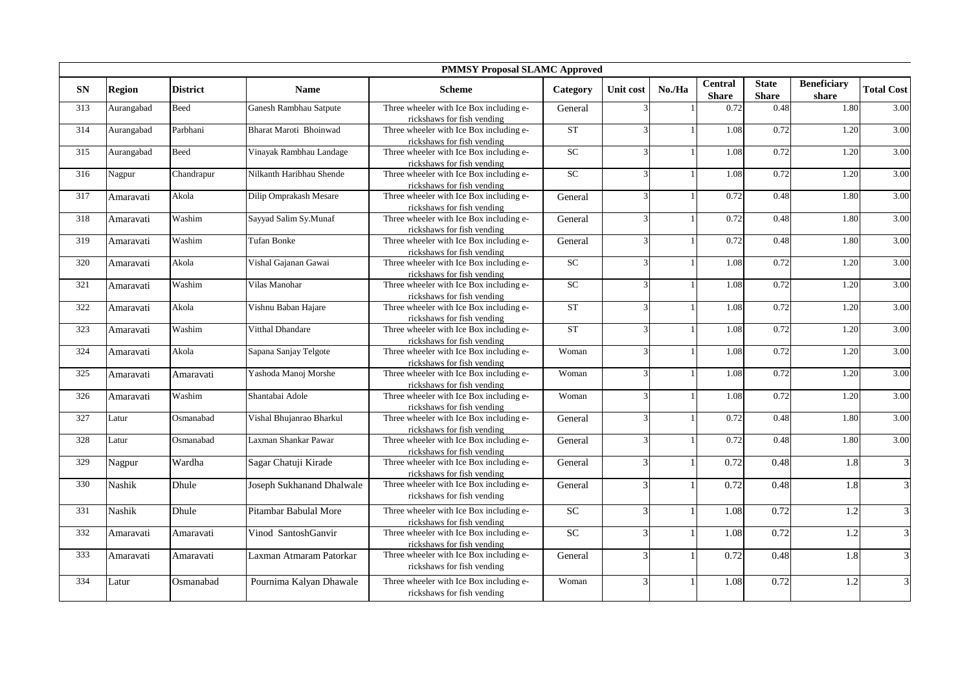|            | <b>PMMSY Proposal SLAMC Approved</b> |                 |                           |                                                                       |                    |                          |        |                                |                              |                             |                   |  |  |  |
|------------|--------------------------------------|-----------------|---------------------------|-----------------------------------------------------------------------|--------------------|--------------------------|--------|--------------------------------|------------------------------|-----------------------------|-------------------|--|--|--|
| ${\bf SN}$ | <b>Region</b>                        | <b>District</b> | <b>Name</b>               | <b>Scheme</b>                                                         | Category           | Unit cost                | No./Ha | <b>Central</b><br><b>Share</b> | <b>State</b><br><b>Share</b> | <b>Beneficiary</b><br>share | <b>Total Cost</b> |  |  |  |
| 313        | Aurangabad                           | Beed            | Ganesh Rambhau Satpute    | Three wheeler with Ice Box including e-<br>rickshaws for fish vending | General            |                          |        | 0.72                           | 0.48                         | 1.80                        | 3.00              |  |  |  |
| 314        | Aurangabad                           | Parbhani        | Bharat Maroti Bhoinwad    | Three wheeler with Ice Box including e-<br>rickshaws for fish vending | <b>ST</b>          | 3                        |        | 1.08                           | 0.72                         | 1.20                        | 3.00              |  |  |  |
| 315        | Aurangabad                           | Beed            | Vinayak Rambhau Landage   | Three wheeler with Ice Box including e-<br>rickshaws for fish vending | SC                 | $\overline{3}$           |        | 1.08                           | 0.72                         | 1.20                        | 3.00              |  |  |  |
| 316        | Nagpur                               | Chandrapur      | Nilkanth Haribhau Shende  | Three wheeler with Ice Box including e-<br>rickshaws for fish vending | <b>SC</b>          | 3                        |        | 1.08                           | 0.72                         | 1.20                        | 3.00              |  |  |  |
| 317        | Amaravati                            | Akola           | Dilip Omprakash Mesare    | Three wheeler with Ice Box including e-<br>rickshaws for fish vending | General            | 3                        |        | 0.72                           | 0.48                         | 1.80                        | 3.00              |  |  |  |
| 318        | Amaravati                            | Washim          | Sayyad Salim Sy.Munaf     | Three wheeler with Ice Box including e-<br>rickshaws for fish vending | General            | 3                        |        | 0.72                           | 0.48                         | 1.80                        | 3.00              |  |  |  |
| 319        | Amaravati                            | Washim          | Tufan Bonke               | Three wheeler with Ice Box including e-<br>rickshaws for fish vending | General            | 3                        |        | 0.72                           | 0.48                         | 1.80                        | 3.00              |  |  |  |
| 320        | Amaravati                            | Akola           | Vishal Gajanan Gawai      | Three wheeler with Ice Box including e-<br>rickshaws for fish vending | <b>SC</b>          | 3                        |        | 1.08                           | 0.72                         | 1.20                        | 3.00              |  |  |  |
| 321        | Amaravati                            | Washim          | Vilas Manohar             | Three wheeler with Ice Box including e-<br>rickshaws for fish vending | SC                 | 3                        |        | 1.08                           | 0.72                         | 1.20                        | 3.00              |  |  |  |
| 322        | Amaravati                            | Akola           | Vishnu Baban Hajare       | Three wheeler with Ice Box including e-<br>rickshaws for fish vending | ${\cal S}{\cal T}$ | 3                        |        | 1.08                           | 0.72                         | 1.20                        | 3.00              |  |  |  |
| 323        | Amaravati                            | Washim          | Vitthal Dhandare          | Three wheeler with Ice Box including e-<br>rickshaws for fish vending | <b>ST</b>          | 3                        |        | 1.08                           | 0.72                         | 1.20                        | 3.00              |  |  |  |
| 324        | Amaravati                            | Akola           | Sapana Sanjay Telgote     | Three wheeler with Ice Box including e-<br>rickshaws for fish vending | Woman              | 3                        |        | 1.08                           | 0.72                         | 1.20                        | 3.00              |  |  |  |
| 325        | Amaravati                            | Amaravati       | Yashoda Manoj Morshe      | Three wheeler with Ice Box including e-<br>rickshaws for fish vending | Woman              | 3                        |        | 1.08                           | 0.72                         | 1.20                        | 3.00              |  |  |  |
| 326        | Amaravati                            | Washim          | Shantabai Adole           | Three wheeler with Ice Box including e-<br>rickshaws for fish vending | Woman              | $\mathbf{3}$             |        | 1.08                           | 0.72                         | 1.20                        | 3.00              |  |  |  |
| 327        | Latur                                | Osmanabad       | Vishal Bhujanrao Bharkul  | Three wheeler with Ice Box including e-<br>rickshaws for fish vending | General            | $\mathbf{3}$             |        | 0.72                           | 0.48                         | 1.80                        | 3.00              |  |  |  |
| 328        | Latur                                | Osmanabad       | Laxman Shankar Pawar      | Three wheeler with Ice Box including e-<br>rickshaws for fish vending | General            | 3                        |        | 0.72                           | 0.48                         | 1.80                        | 3.00              |  |  |  |
| 329        | Nagpur                               | Wardha          | Sagar Chatuji Kirade      | Three wheeler with Ice Box including e-<br>rickshaws for fish vending | General            | 3                        |        | 0.72                           | 0.48                         | 1.8                         | $\overline{3}$    |  |  |  |
| 330        | Nashik                               | Dhule           | Joseph Sukhanand Dhalwale | Three wheeler with Ice Box including e-<br>rickshaws for fish vending | General            | $\overline{\mathcal{E}}$ |        | 0.72                           | 0.48                         | 1.8                         | 3                 |  |  |  |
| 331        | Nashik                               | Dhule           | Pitambar Babulal More     | Three wheeler with Ice Box including e-<br>rickshaws for fish vending | SC                 | $\overline{3}$           |        | 1.08                           | 0.72                         | 1.2                         | 3                 |  |  |  |
| 332        | Amaravati                            | Amaravati       | Vinod SantoshGanvir       | Three wheeler with Ice Box including e-<br>rickshaws for fish vending | $\overline{SC}$    | $\overline{\mathcal{E}}$ |        | 1.08                           | 0.72                         | 1.2                         | $\mathfrak{Z}$    |  |  |  |
| 333        | Amaravati                            | Amaravati       | Laxman Atmaram Patorkar   | Three wheeler with Ice Box including e-<br>rickshaws for fish vending | General            | $\overline{\mathcal{E}}$ |        | 0.72                           | 0.48                         | 1.8                         | 3                 |  |  |  |
| 334        | Latur                                | Osmanabad       | Pournima Kalyan Dhawale   | Three wheeler with Ice Box including e-<br>rickshaws for fish vending | Woman              | 3                        |        | 1.08                           | 0.72                         | 1.2                         | 3                 |  |  |  |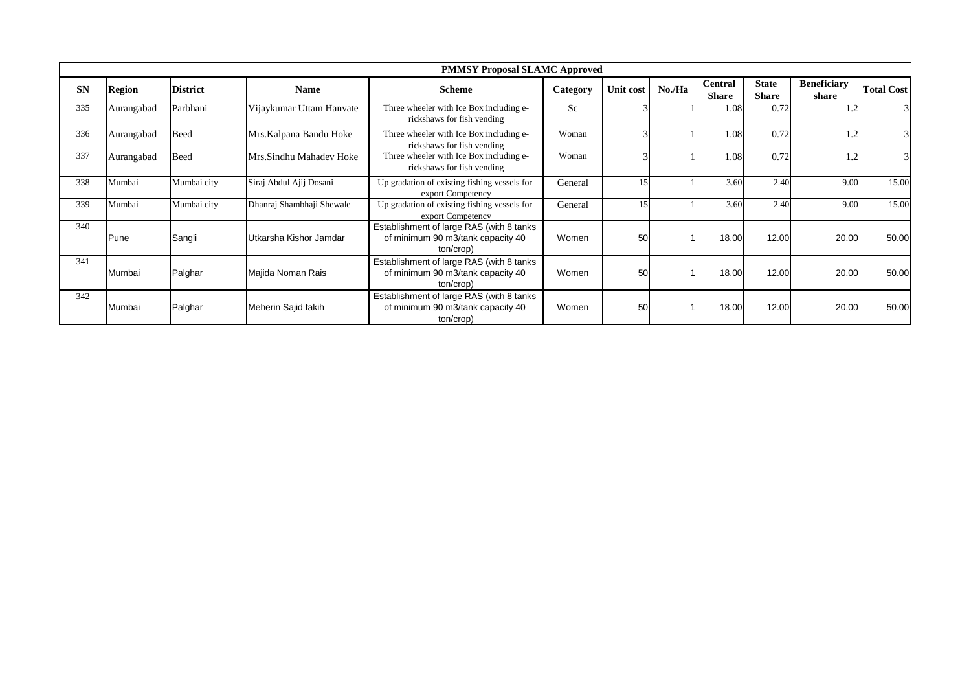|           |            |                 |                           | <b>PMMSY Proposal SLAMC Approved</b>                                                        |          |           |        |                                |                              |                             |                   |
|-----------|------------|-----------------|---------------------------|---------------------------------------------------------------------------------------------|----------|-----------|--------|--------------------------------|------------------------------|-----------------------------|-------------------|
| <b>SN</b> | Region     | <b>District</b> | <b>Name</b>               | <b>Scheme</b>                                                                               | Category | Unit cost | No./Ha | <b>Central</b><br><b>Share</b> | <b>State</b><br><b>Share</b> | <b>Beneficiary</b><br>share | <b>Total Cost</b> |
| 335       | Aurangabad | Parbhani        | Vijaykumar Uttam Hanvate  | Three wheeler with Ice Box including e-<br>rickshaws for fish vending                       | Sc.      |           |        | 1.08                           | 0.72                         | 1.2                         | 3                 |
| 336       | Aurangabad | Beed            | Mrs.Kalpana Bandu Hoke    | Three wheeler with Ice Box including e-<br>rickshaws for fish vending                       | Woman    |           |        | 1.08                           | 0.72                         | 1.2                         | 3                 |
| 337       | Aurangabad | <b>Beed</b>     | Mrs.Sindhu Mahadev Hoke   | Three wheeler with Ice Box including e-<br>rickshaws for fish vending                       | Woman    |           |        | 1.08                           | 0.72                         | 1.2                         | $\mathbf{3}$      |
| 338       | Mumbai     | Mumbai city     | Siraj Abdul Ajij Dosani   | Up gradation of existing fishing vessels for<br>export Competency                           | General  | 15        |        | 3.60                           | 2.40                         | 9.00                        | 15.00             |
| 339       | Mumbai     | Mumbai city     | Dhanraj Shambhaji Shewale | Up gradation of existing fishing vessels for<br>export Competency                           | General  |           |        | 3.60                           | 2.40                         | 9.00                        | 15.00             |
| 340       | Pune       | Sangli          | Utkarsha Kishor Jamdar    | Establishment of large RAS (with 8 tanks)<br>of minimum 90 m3/tank capacity 40<br>ton/crop) | Women    | 50        |        | 18.00                          | 12.00                        | 20.00                       | 50.00             |
| 341       | Mumbai     | Palghar         | Majida Noman Rais         | Establishment of large RAS (with 8 tanks<br>of minimum 90 m3/tank capacity 40<br>ton/crop)  | Women    | 50        |        | 18.00                          | 12.00                        | 20.00                       | 50.00             |
| 342       | Mumbai     | Palghar         | Meherin Sajid fakih       | Establishment of large RAS (with 8 tanks<br>of minimum 90 m3/tank capacity 40<br>ton/crop)  | Women    | 50        |        | 18.00                          | 12.00                        | 20.00                       | 50.00             |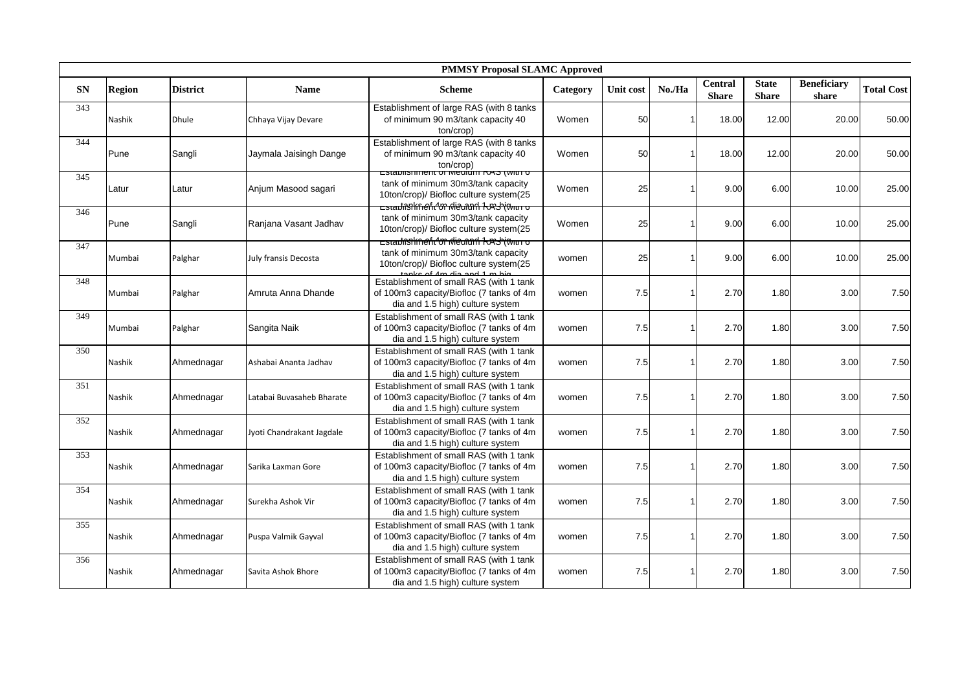|            | <b>PMMSY Proposal SLAMC Approved</b> |                 |                           |                                                                                                                                               |          |           |        |                                |                              |                             |                   |  |
|------------|--------------------------------------|-----------------|---------------------------|-----------------------------------------------------------------------------------------------------------------------------------------------|----------|-----------|--------|--------------------------------|------------------------------|-----------------------------|-------------------|--|
| ${\bf SN}$ | <b>Region</b>                        | <b>District</b> | <b>Name</b>               | <b>Scheme</b>                                                                                                                                 | Category | Unit cost | No./Ha | <b>Central</b><br><b>Share</b> | <b>State</b><br><b>Share</b> | <b>Beneficiary</b><br>share | <b>Total Cost</b> |  |
| 343        | Nashik                               | <b>Dhule</b>    | Chhaya Vijay Devare       | Establishment of large RAS (with 8 tanks<br>of minimum 90 m3/tank capacity 40<br>ton/crop)                                                    | Women    | 50        |        | 18.00                          | 12.00                        | 20.00                       | 50.00             |  |
| 344        | Pune                                 | Sangli          | Jaymala Jaisingh Dange    | Establishment of large RAS (with 8 tanks<br>of minimum 90 m3/tank capacity 40<br>ton/crop)                                                    | Women    | 50        |        | 18.00                          | 12.00                        | 20.00                       | 50.00             |  |
| 345        | Latur                                | Latur           | Anjum Masood sagari       | <del>Establishment of Medium RAS (with 6</del><br>tank of minimum 30m3/tank capacity<br>10ton/crop)/ Biofloc culture system(25                | Women    | 25        |        | 9.00                           | 6.00                         | 10.00                       | 25.00             |  |
| 346        | Pune                                 | Sangli          | Ranjana Vasant Jadhav     | <del>Establisthnefit<sup>4</sup>ຫ idieorund kxsb(พแก่ 6</del><br>tank of minimum 30m3/tank capacity<br>10ton/crop)/ Biofloc culture system(25 | Women    | 25        |        | 9.00                           | 6.00                         | 10.00                       | 25.00             |  |
| 347        | Mumbai                               | Palghar         | July fransis Decosta      | <del>⊏stadißhknefir^on ioleumnd 1kmsh@wittro</del><br>tank of minimum 30m3/tank capacity<br>10ton/crop)/ Biofloc culture system(25            | women    | 25        |        | 9.00                           | 6.00                         | 10.00                       | 25.00             |  |
| 348        | Mumbai                               | Palghar         | Amruta Anna Dhande        | Establishment of small RAS (with 1 tank<br>of 100m3 capacity/Biofloc (7 tanks of 4m)<br>dia and 1.5 high) culture system                      | women    | 7.5       |        | 2.70                           | 1.80                         | 3.00                        | 7.50              |  |
| 349        | Mumbai                               | Palghar         | Sangita Naik              | Establishment of small RAS (with 1 tank<br>of 100m3 capacity/Biofloc (7 tanks of 4m<br>dia and 1.5 high) culture system                       | women    | 7.5       |        | 2.70                           | 1.80                         | 3.00                        | 7.50              |  |
| 350        | Nashik                               | Ahmednagar      | Ashabai Ananta Jadhav     | Establishment of small RAS (with 1 tank<br>of 100m3 capacity/Biofloc (7 tanks of 4m<br>dia and 1.5 high) culture system                       | women    | 7.5       |        | 2.70                           | 1.80                         | 3.00                        | 7.50              |  |
| 351        | Nashik                               | Ahmednagar      | Latabai Buvasaheb Bharate | Establishment of small RAS (with 1 tank<br>of 100m3 capacity/Biofloc (7 tanks of 4m)<br>dia and 1.5 high) culture system                      | women    | 7.5       |        | 2.70                           | 1.80                         | 3.00                        | 7.50              |  |
| 352        | Nashik                               | Ahmednagar      | Jyoti Chandrakant Jagdale | Establishment of small RAS (with 1 tank<br>of 100m3 capacity/Biofloc (7 tanks of 4m<br>dia and 1.5 high) culture system                       | women    | 7.5       |        | 2.70                           | 1.80                         | 3.00                        | 7.50              |  |
| 353        | Nashik                               | Ahmednagar      | Sarika Laxman Gore        | Establishment of small RAS (with 1 tank<br>of 100m3 capacity/Biofloc (7 tanks of 4m<br>dia and 1.5 high) culture system                       | women    | 7.5       |        | 2.70                           | 1.80                         | 3.00                        | 7.50              |  |
| 354        | Nashik                               | Ahmednagar      | Surekha Ashok Vir         | Establishment of small RAS (with 1 tank<br>of 100m3 capacity/Biofloc (7 tanks of 4m<br>dia and 1.5 high) culture system                       | women    | 7.5       |        | 2.70                           | 1.80                         | 3.00                        | 7.50              |  |
| 355        | Nashik                               | Ahmednagar      | Puspa Valmik Gayval       | Establishment of small RAS (with 1 tank<br>of 100m3 capacity/Biofloc (7 tanks of 4m<br>dia and 1.5 high) culture system                       | women    | 7.5       |        | 2.70                           | 1.80                         | 3.00                        | 7.50              |  |
| 356        | Nashik                               | Ahmednagar      | Savita Ashok Bhore        | Establishment of small RAS (with 1 tank<br>of 100m3 capacity/Biofloc (7 tanks of 4m<br>dia and 1.5 high) culture system                       | women    | 7.5       |        | 2.70                           | 1.80                         | 3.00                        | 7.50              |  |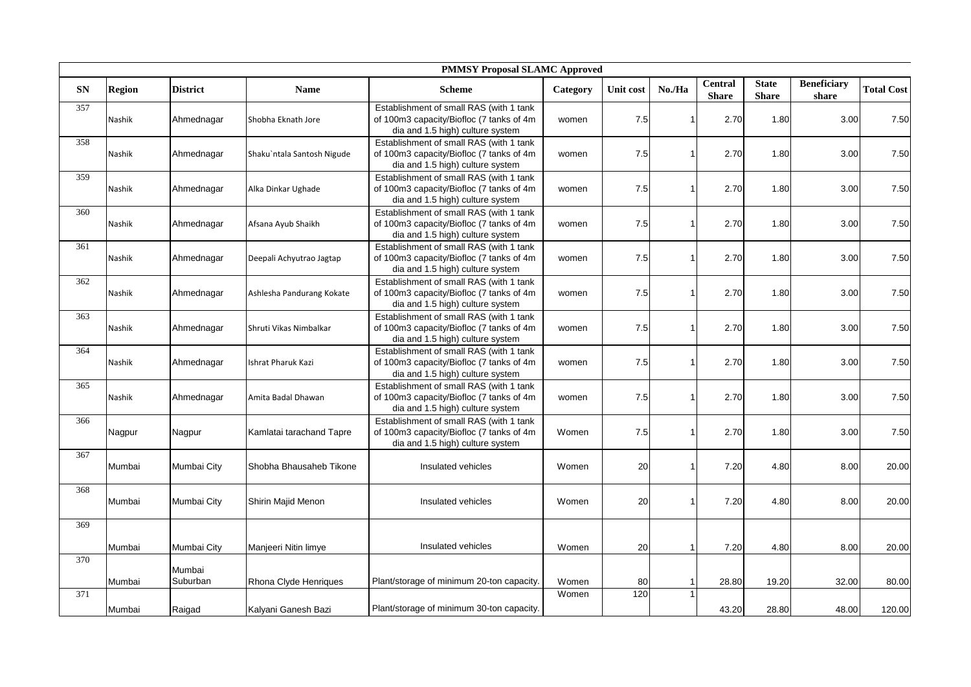|            | <b>PMMSY Proposal SLAMC Approved</b> |                 |                            |                                                                                                                          |                |                  |                |                         |                              |                             |                   |
|------------|--------------------------------------|-----------------|----------------------------|--------------------------------------------------------------------------------------------------------------------------|----------------|------------------|----------------|-------------------------|------------------------------|-----------------------------|-------------------|
| ${\bf SN}$ | <b>Region</b>                        | <b>District</b> | <b>Name</b>                | <b>Scheme</b>                                                                                                            | Category       | <b>Unit cost</b> | No./Ha         | Central<br><b>Share</b> | <b>State</b><br><b>Share</b> | <b>Beneficiary</b><br>share | <b>Total Cost</b> |
| 357        | Nashik                               | Ahmednagar      | Shobha Eknath Jore         | Establishment of small RAS (with 1 tank<br>of 100m3 capacity/Biofloc (7 tanks of 4m<br>dia and 1.5 high) culture system  | women          | 7.5              |                | 2.70                    | 1.80                         | 3.00                        | 7.50              |
| 358        | Nashik                               | Ahmednagar      | Shaku`ntala Santosh Nigude | Establishment of small RAS (with 1 tank<br>of 100m3 capacity/Biofloc (7 tanks of 4m<br>dia and 1.5 high) culture system  | women          | 7.5              | 1              | 2.70                    | 1.80                         | 3.00                        | 7.50              |
| 359        | Nashik                               | Ahmednagar      | Alka Dinkar Ughade         | Establishment of small RAS (with 1 tank<br>of 100m3 capacity/Biofloc (7 tanks of 4m<br>dia and 1.5 high) culture system  | women          | 7.5              |                | 2.70                    | 1.80                         | 3.00                        | 7.50              |
| 360        | Nashik                               | Ahmednagar      | Afsana Ayub Shaikh         | Establishment of small RAS (with 1 tank<br>of 100m3 capacity/Biofloc (7 tanks of 4m<br>dia and 1.5 high) culture system  | women          | 7.5              |                | 2.70                    | 1.80                         | 3.00                        | 7.50              |
| 361        | Nashik                               | Ahmednagar      | Deepali Achyutrao Jagtap   | Establishment of small RAS (with 1 tank<br>of 100m3 capacity/Biofloc (7 tanks of 4m)<br>dia and 1.5 high) culture system | women          | 7.5              |                | 2.70                    | 1.80                         | 3.00                        | 7.50              |
| 362        | Nashik                               | Ahmednagar      | Ashlesha Pandurang Kokate  | Establishment of small RAS (with 1 tank<br>of 100m3 capacity/Biofloc (7 tanks of 4m<br>dia and 1.5 high) culture system  | women          | 7.5              |                | 2.70                    | 1.80                         | 3.00                        | 7.50              |
| 363        | Nashik                               | Ahmednagar      | Shruti Vikas Nimbalkar     | Establishment of small RAS (with 1 tank<br>of 100m3 capacity/Biofloc (7 tanks of 4m<br>dia and 1.5 high) culture system  | women          | 7.5              |                | 2.70                    | 1.80                         | 3.00                        | 7.50              |
| 364        | Nashik                               | Ahmednagar      | Ishrat Pharuk Kazi         | Establishment of small RAS (with 1 tank<br>of 100m3 capacity/Biofloc (7 tanks of 4m<br>dia and 1.5 high) culture system  | women          | 7.5              |                | 2.70                    | 1.80                         | 3.00                        | 7.50              |
| 365        | Nashik                               | Ahmednagar      | Amita Badal Dhawan         | Establishment of small RAS (with 1 tank<br>of 100m3 capacity/Biofloc (7 tanks of 4m<br>dia and 1.5 high) culture system  | women          | 7.5              |                | 2.70                    | 1.80                         | 3.00                        | 7.50              |
| 366        | Nagpur                               | Nagpur          | Kamlatai tarachand Tapre   | Establishment of small RAS (with 1 tank<br>of 100m3 capacity/Biofloc (7 tanks of 4m<br>dia and 1.5 high) culture system  | Women          | 7.5              |                | 2.70                    | 1.80                         | 3.00                        | 7.50              |
| 367        | Mumbai                               | Mumbai City     | Shobha Bhausaheb Tikone    | Insulated vehicles                                                                                                       | Women          | 20               |                | 7.20                    | 4.80                         | 8.00                        | 20.00             |
| 368        | Mumbai                               | Mumbai City     | Shirin Majid Menon         | Insulated vehicles                                                                                                       | Women          | 20               |                | 7.20                    | 4.80                         | 8.00                        | 20.00             |
| 369        |                                      |                 |                            |                                                                                                                          |                |                  |                |                         |                              |                             |                   |
|            | Mumbai                               | Mumbai City     | Manjeeri Nitin limye       | Insulated vehicles                                                                                                       | Women          | 20               | $\overline{1}$ | 7.20                    | 4.80                         | 8.00                        | 20.00             |
| 370        |                                      | Mumbai          |                            |                                                                                                                          |                |                  |                |                         |                              |                             |                   |
| 371        | Mumbai                               | Suburban        | Rhona Clyde Henriques      | Plant/storage of minimum 20-ton capacity.                                                                                | Women<br>Women | 80<br>120        |                | 28.80                   | 19.20                        | 32.00                       | 80.00             |
|            | Mumbai                               | Raigad          | Kalyani Ganesh Bazi        | Plant/storage of minimum 30-ton capacity.                                                                                |                |                  |                | 43.20                   | 28.80                        | 48.00                       | 120.00            |